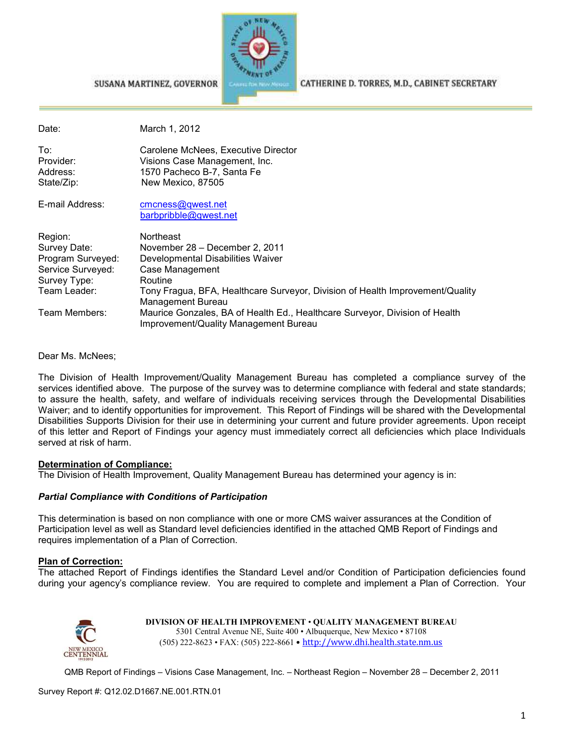

#### CATHERINE D. TORRES, M.D., CABINET SECRETARY

| Date:                                                                                             | March 1, 2012                                                                                                                                                                                                               |
|---------------------------------------------------------------------------------------------------|-----------------------------------------------------------------------------------------------------------------------------------------------------------------------------------------------------------------------------|
| To:<br>Provider:<br>Address:<br>State/Zip:                                                        | Carolene McNees, Executive Director<br>Visions Case Management, Inc.<br>1570 Pacheco B-7, Santa Fe<br>New Mexico, 87505                                                                                                     |
| E-mail Address:                                                                                   | cmcness@qwest.net<br>barbpribble@gwest.net                                                                                                                                                                                  |
| Region:<br>Survey Date:<br>Program Surveyed:<br>Service Surveyed:<br>Survey Type:<br>Team Leader: | <b>Northeast</b><br>November 28 - December 2, 2011<br>Developmental Disabilities Waiver<br>Case Management<br>Routine<br>Tony Fragua, BFA, Healthcare Surveyor, Division of Health Improvement/Quality<br>Management Bureau |
| Team Members:                                                                                     | Maurice Gonzales, BA of Health Ed., Healthcare Surveyor, Division of Health<br>Improvement/Quality Management Bureau                                                                                                        |
|                                                                                                   |                                                                                                                                                                                                                             |

Dear Ms. McNees;

The Division of Health Improvement/Quality Management Bureau has completed a compliance survey of the services identified above. The purpose of the survey was to determine compliance with federal and state standards; to assure the health, safety, and welfare of individuals receiving services through the Developmental Disabilities Waiver; and to identify opportunities for improvement. This Report of Findings will be shared with the Developmental Disabilities Supports Division for their use in determining your current and future provider agreements. Upon receipt of this letter and Report of Findings your agency must immediately correct all deficiencies which place Individuals served at risk of harm.

#### **Determination of Compliance:**

The Division of Health Improvement, Quality Management Bureau has determined your agency is in:

#### *Partial Compliance with Conditions of Participation*

SUSANA MARTINEZ, GOVERNOR

This determination is based on non compliance with one or more CMS waiver assurances at the Condition of Participation level as well as Standard level deficiencies identified in the attached QMB Report of Findings and requires implementation of a Plan of Correction.

#### **Plan of Correction:**

The attached Report of Findings identifies the Standard Level and/or Condition of Participation deficiencies found during your agency's compliance review. You are required to complete and implement a Plan of Correction. Your



**DIVISION OF HEALTH IMPROVEMENT** • **QUALITY MANAGEMENT BUREAU** 5301 Central Avenue NE, Suite 400 • Albuquerque, New Mexico • 87108 (505) 222-8623 • FAX: (505) 222-8661 • http://www.dhi.health.state.nm.us

QMB Report of Findings – Visions Case Management, Inc. – Northeast Region – November 28 – December 2, 2011

Survey Report #: Q12.02.D1667.NE.001.RTN.01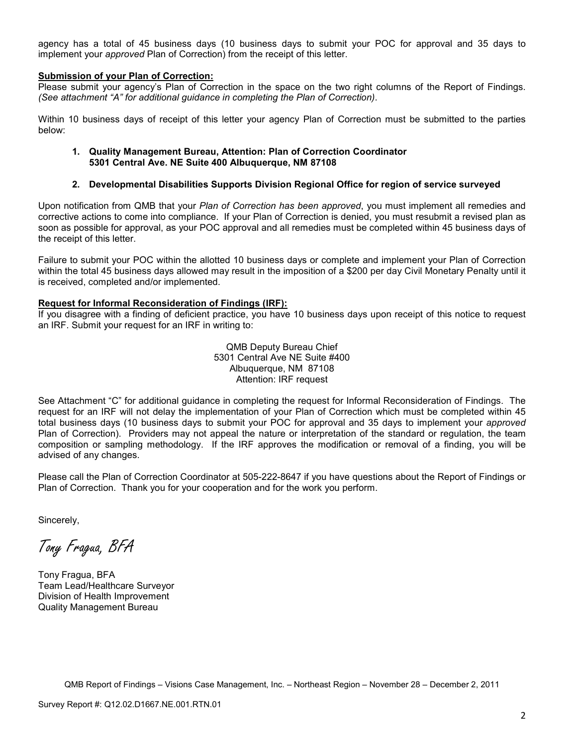agency has a total of 45 business days (10 business days to submit your POC for approval and 35 days to implement your *approved* Plan of Correction) from the receipt of this letter.

#### **Submission of your Plan of Correction:**

Please submit your agency's Plan of Correction in the space on the two right columns of the Report of Findings. *(See attachment "A" for additional guidance in completing the Plan of Correction)*.

Within 10 business days of receipt of this letter your agency Plan of Correction must be submitted to the parties below:

#### **1. Quality Management Bureau, Attention: Plan of Correction Coordinator 5301 Central Ave. NE Suite 400 Albuquerque, NM 87108**

#### **2. Developmental Disabilities Supports Division Regional Office for region of service surveyed**

Upon notification from QMB that your *Plan of Correction has been approved*, you must implement all remedies and corrective actions to come into compliance. If your Plan of Correction is denied, you must resubmit a revised plan as soon as possible for approval, as your POC approval and all remedies must be completed within 45 business days of the receipt of this letter.

Failure to submit your POC within the allotted 10 business days or complete and implement your Plan of Correction within the total 45 business days allowed may result in the imposition of a \$200 per day Civil Monetary Penalty until it is received, completed and/or implemented.

#### **Request for Informal Reconsideration of Findings (IRF):**

If you disagree with a finding of deficient practice, you have 10 business days upon receipt of this notice to request an IRF. Submit your request for an IRF in writing to:

> QMB Deputy Bureau Chief 5301 Central Ave NE Suite #400 Albuquerque, NM 87108 Attention: IRF request

See Attachment "C" for additional guidance in completing the request for Informal Reconsideration of Findings. The request for an IRF will not delay the implementation of your Plan of Correction which must be completed within 45 total business days (10 business days to submit your POC for approval and 35 days to implement your *approved* Plan of Correction). Providers may not appeal the nature or interpretation of the standard or regulation, the team composition or sampling methodology. If the IRF approves the modification or removal of a finding, you will be advised of any changes.

Please call the Plan of Correction Coordinator at 505-222-8647 if you have questions about the Report of Findings or Plan of Correction. Thank you for your cooperation and for the work you perform.

Sincerely,

Tony Fragua, BFA

Tony Fragua, BFA Team Lead/Healthcare Surveyor Division of Health Improvement Quality Management Bureau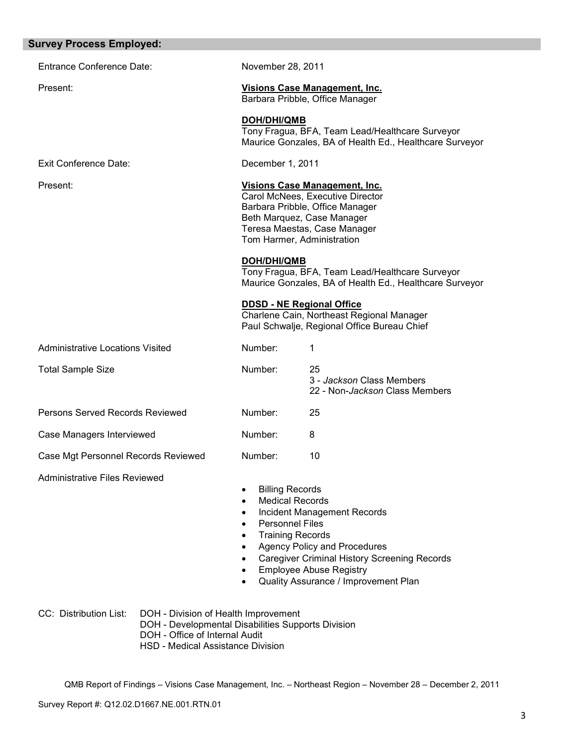| <b>Survey Process Employed:</b>         |                                                                                                                                                                   |                                                                                                            |                                                                                                                                                                                                            |
|-----------------------------------------|-------------------------------------------------------------------------------------------------------------------------------------------------------------------|------------------------------------------------------------------------------------------------------------|------------------------------------------------------------------------------------------------------------------------------------------------------------------------------------------------------------|
| <b>Entrance Conference Date:</b>        |                                                                                                                                                                   | November 28, 2011                                                                                          |                                                                                                                                                                                                            |
| Present:                                |                                                                                                                                                                   |                                                                                                            | <b>Visions Case Management, Inc.</b><br>Barbara Pribble, Office Manager                                                                                                                                    |
|                                         |                                                                                                                                                                   | <b>DOH/DHI/QMB</b>                                                                                         | Tony Fragua, BFA, Team Lead/Healthcare Surveyor<br>Maurice Gonzales, BA of Health Ed., Healthcare Surveyor                                                                                                 |
| Exit Conference Date:                   |                                                                                                                                                                   | December 1, 2011                                                                                           |                                                                                                                                                                                                            |
| Present:                                |                                                                                                                                                                   |                                                                                                            | Visions Case Management, Inc.<br>Carol McNees, Executive Director<br>Barbara Pribble, Office Manager<br>Beth Marquez, Case Manager<br>Teresa Maestas, Case Manager<br>Tom Harmer, Administration           |
|                                         |                                                                                                                                                                   | <b>DOH/DHI/QMB</b>                                                                                         | Tony Fragua, BFA, Team Lead/Healthcare Surveyor<br>Maurice Gonzales, BA of Health Ed., Healthcare Surveyor                                                                                                 |
|                                         |                                                                                                                                                                   |                                                                                                            | <b>DDSD - NE Regional Office</b><br>Charlene Cain, Northeast Regional Manager<br>Paul Schwalje, Regional Office Bureau Chief                                                                               |
| <b>Administrative Locations Visited</b> |                                                                                                                                                                   | Number:                                                                                                    | 1                                                                                                                                                                                                          |
| <b>Total Sample Size</b>                |                                                                                                                                                                   | Number:                                                                                                    | 25<br>3 - Jackson Class Members<br>22 - Non-Jackson Class Members                                                                                                                                          |
| Persons Served Records Reviewed         |                                                                                                                                                                   | Number:                                                                                                    | 25                                                                                                                                                                                                         |
| Case Managers Interviewed               |                                                                                                                                                                   | Number:                                                                                                    | 8                                                                                                                                                                                                          |
| Case Mgt Personnel Records Reviewed     |                                                                                                                                                                   | Number:                                                                                                    | 10                                                                                                                                                                                                         |
| <b>Administrative Files Reviewed</b>    |                                                                                                                                                                   | <b>Billing Records</b><br>٠<br><b>Medical Records</b><br><b>Personnel Files</b><br><b>Training Records</b> | <b>Incident Management Records</b><br><b>Agency Policy and Procedures</b><br><b>Caregiver Criminal History Screening Records</b><br><b>Employee Abuse Registry</b><br>Quality Assurance / Improvement Plan |
| CC: Distribution List:                  | DOH - Division of Health Improvement<br>DOH - Developmental Disabilities Supports Division<br>DOH - Office of Internal Audit<br>HSD - Medical Assistance Division |                                                                                                            |                                                                                                                                                                                                            |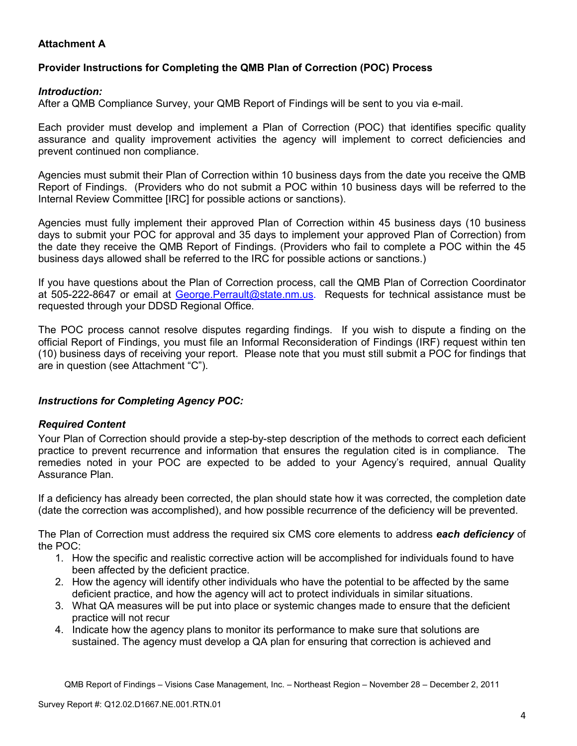# **Attachment A**

# **Provider Instructions for Completing the QMB Plan of Correction (POC) Process**

### *Introduction:*

After a QMB Compliance Survey, your QMB Report of Findings will be sent to you via e-mail.

Each provider must develop and implement a Plan of Correction (POC) that identifies specific quality assurance and quality improvement activities the agency will implement to correct deficiencies and prevent continued non compliance.

Agencies must submit their Plan of Correction within 10 business days from the date you receive the QMB Report of Findings. (Providers who do not submit a POC within 10 business days will be referred to the Internal Review Committee [IRC] for possible actions or sanctions).

Agencies must fully implement their approved Plan of Correction within 45 business days (10 business days to submit your POC for approval and 35 days to implement your approved Plan of Correction) from the date they receive the QMB Report of Findings. (Providers who fail to complete a POC within the 45 business days allowed shall be referred to the IRC for possible actions or sanctions.)

If you have questions about the Plan of Correction process, call the QMB Plan of Correction Coordinator at 505-222-8647 or email at George. Perrault@state.nm.us. Requests for technical assistance must be requested through your DDSD Regional Office.

The POC process cannot resolve disputes regarding findings. If you wish to dispute a finding on the official Report of Findings, you must file an Informal Reconsideration of Findings (IRF) request within ten (10) business days of receiving your report. Please note that you must still submit a POC for findings that are in question (see Attachment "C").

## *Instructions for Completing Agency POC:*

## *Required Content*

Your Plan of Correction should provide a step-by-step description of the methods to correct each deficient practice to prevent recurrence and information that ensures the regulation cited is in compliance. The remedies noted in your POC are expected to be added to your Agency's required, annual Quality Assurance Plan.

If a deficiency has already been corrected, the plan should state how it was corrected, the completion date (date the correction was accomplished), and how possible recurrence of the deficiency will be prevented.

The Plan of Correction must address the required six CMS core elements to address *each deficiency* of the POC:

- 1. How the specific and realistic corrective action will be accomplished for individuals found to have been affected by the deficient practice.
- 2. How the agency will identify other individuals who have the potential to be affected by the same deficient practice, and how the agency will act to protect individuals in similar situations.
- 3. What QA measures will be put into place or systemic changes made to ensure that the deficient practice will not recur
- 4. Indicate how the agency plans to monitor its performance to make sure that solutions are sustained. The agency must develop a QA plan for ensuring that correction is achieved and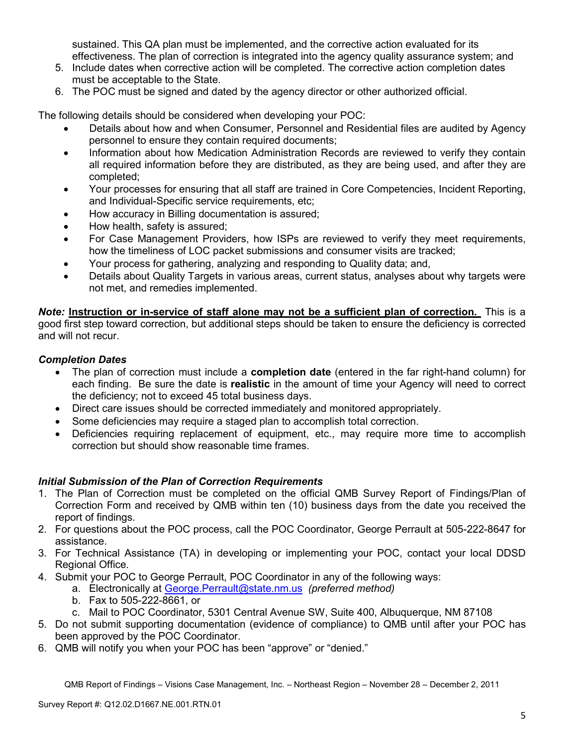sustained. This QA plan must be implemented, and the corrective action evaluated for its effectiveness. The plan of correction is integrated into the agency quality assurance system; and

- 5. Include dates when corrective action will be completed. The corrective action completion dates must be acceptable to the State.
- 6. The POC must be signed and dated by the agency director or other authorized official.

The following details should be considered when developing your POC:

- Details about how and when Consumer, Personnel and Residential files are audited by Agency personnel to ensure they contain required documents;
- Information about how Medication Administration Records are reviewed to verify they contain all required information before they are distributed, as they are being used, and after they are completed;
- Your processes for ensuring that all staff are trained in Core Competencies, Incident Reporting, and Individual-Specific service requirements, etc;
- How accuracy in Billing documentation is assured;
- How health, safety is assured;
- For Case Management Providers, how ISPs are reviewed to verify they meet requirements, how the timeliness of LOC packet submissions and consumer visits are tracked;
- Your process for gathering, analyzing and responding to Quality data; and,
- Details about Quality Targets in various areas, current status, analyses about why targets were not met, and remedies implemented.

*Note:* **Instruction or in-service of staff alone may not be a sufficient plan of correction.** This is a good first step toward correction, but additional steps should be taken to ensure the deficiency is corrected and will not recur.

## *Completion Dates*

- The plan of correction must include a **completion date** (entered in the far right-hand column) for each finding. Be sure the date is **realistic** in the amount of time your Agency will need to correct the deficiency; not to exceed 45 total business days.
- Direct care issues should be corrected immediately and monitored appropriately.
- Some deficiencies may require a staged plan to accomplish total correction.
- Deficiencies requiring replacement of equipment, etc., may require more time to accomplish correction but should show reasonable time frames.

## *Initial Submission of the Plan of Correction Requirements*

- 1. The Plan of Correction must be completed on the official QMB Survey Report of Findings/Plan of Correction Form and received by QMB within ten (10) business days from the date you received the report of findings.
- 2. For questions about the POC process, call the POC Coordinator, George Perrault at 505-222-8647 for assistance.
- 3. For Technical Assistance (TA) in developing or implementing your POC, contact your local DDSD Regional Office.
- 4. Submit your POC to George Perrault, POC Coordinator in any of the following ways:
	- a. Electronically at George.Perrault@state.nm.us *(preferred method)*
	- b. Fax to 505-222-8661, or
	- c. Mail to POC Coordinator, 5301 Central Avenue SW, Suite 400, Albuquerque, NM 87108
- 5. Do not submit supporting documentation (evidence of compliance) to QMB until after your POC has been approved by the POC Coordinator.
- 6. QMB will notify you when your POC has been "approve" or "denied."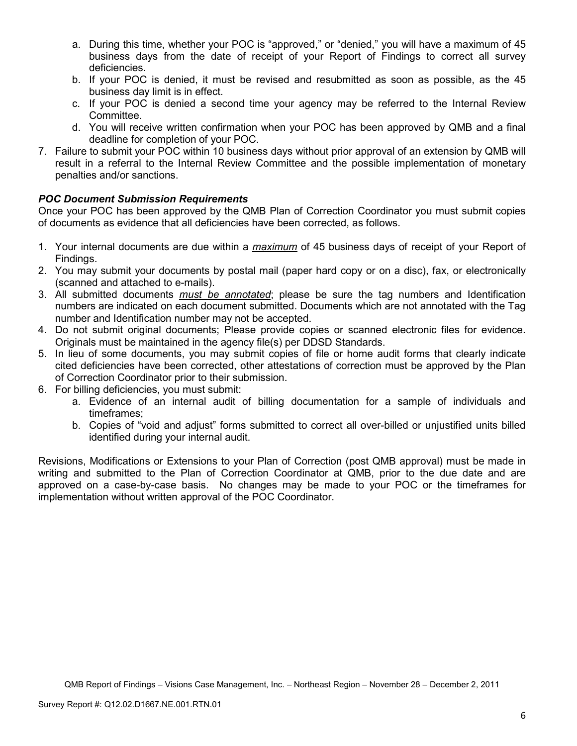- a. During this time, whether your POC is "approved," or "denied," you will have a maximum of 45 business days from the date of receipt of your Report of Findings to correct all survey deficiencies.
- b. If your POC is denied, it must be revised and resubmitted as soon as possible, as the 45 business day limit is in effect.
- c. If your POC is denied a second time your agency may be referred to the Internal Review Committee.
- d. You will receive written confirmation when your POC has been approved by QMB and a final deadline for completion of your POC.
- 7. Failure to submit your POC within 10 business days without prior approval of an extension by QMB will result in a referral to the Internal Review Committee and the possible implementation of monetary penalties and/or sanctions.

# *POC Document Submission Requirements*

Once your POC has been approved by the QMB Plan of Correction Coordinator you must submit copies of documents as evidence that all deficiencies have been corrected, as follows.

- 1. Your internal documents are due within a *maximum* of 45 business days of receipt of your Report of Findings.
- 2. You may submit your documents by postal mail (paper hard copy or on a disc), fax, or electronically (scanned and attached to e-mails).
- 3. All submitted documents *must be annotated*; please be sure the tag numbers and Identification numbers are indicated on each document submitted. Documents which are not annotated with the Tag number and Identification number may not be accepted.
- 4. Do not submit original documents; Please provide copies or scanned electronic files for evidence. Originals must be maintained in the agency file(s) per DDSD Standards.
- 5. In lieu of some documents, you may submit copies of file or home audit forms that clearly indicate cited deficiencies have been corrected, other attestations of correction must be approved by the Plan of Correction Coordinator prior to their submission.
- 6. For billing deficiencies, you must submit:
	- a. Evidence of an internal audit of billing documentation for a sample of individuals and timeframes;
	- b. Copies of "void and adjust" forms submitted to correct all over-billed or unjustified units billed identified during your internal audit.

Revisions, Modifications or Extensions to your Plan of Correction (post QMB approval) must be made in writing and submitted to the Plan of Correction Coordinator at QMB, prior to the due date and are approved on a case-by-case basis. No changes may be made to your POC or the timeframes for implementation without written approval of the POC Coordinator.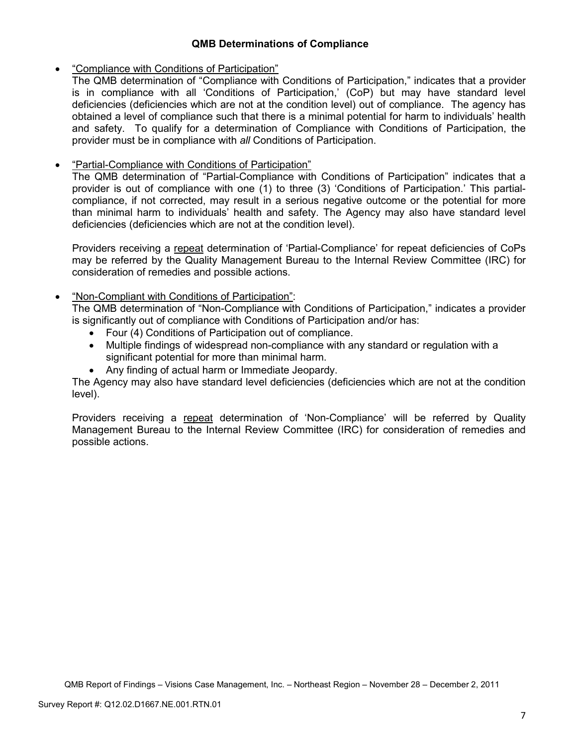## **QMB Determinations of Compliance**

### • "Compliance with Conditions of Participation"

The QMB determination of "Compliance with Conditions of Participation," indicates that a provider is in compliance with all 'Conditions of Participation,' (CoP) but may have standard level deficiencies (deficiencies which are not at the condition level) out of compliance. The agency has obtained a level of compliance such that there is a minimal potential for harm to individuals' health and safety. To qualify for a determination of Compliance with Conditions of Participation, the provider must be in compliance with *all* Conditions of Participation.

## • "Partial-Compliance with Conditions of Participation"

The QMB determination of "Partial-Compliance with Conditions of Participation" indicates that a provider is out of compliance with one (1) to three (3) 'Conditions of Participation.' This partialcompliance, if not corrected, may result in a serious negative outcome or the potential for more than minimal harm to individuals' health and safety. The Agency may also have standard level deficiencies (deficiencies which are not at the condition level).

Providers receiving a repeat determination of 'Partial-Compliance' for repeat deficiencies of CoPs may be referred by the Quality Management Bureau to the Internal Review Committee (IRC) for consideration of remedies and possible actions.

### • "Non-Compliant with Conditions of Participation":

The QMB determination of "Non-Compliance with Conditions of Participation," indicates a provider is significantly out of compliance with Conditions of Participation and/or has:

- Four (4) Conditions of Participation out of compliance.
- Multiple findings of widespread non-compliance with any standard or regulation with a significant potential for more than minimal harm.
- Any finding of actual harm or Immediate Jeopardy.

The Agency may also have standard level deficiencies (deficiencies which are not at the condition level).

Providers receiving a repeat determination of 'Non-Compliance' will be referred by Quality Management Bureau to the Internal Review Committee (IRC) for consideration of remedies and possible actions.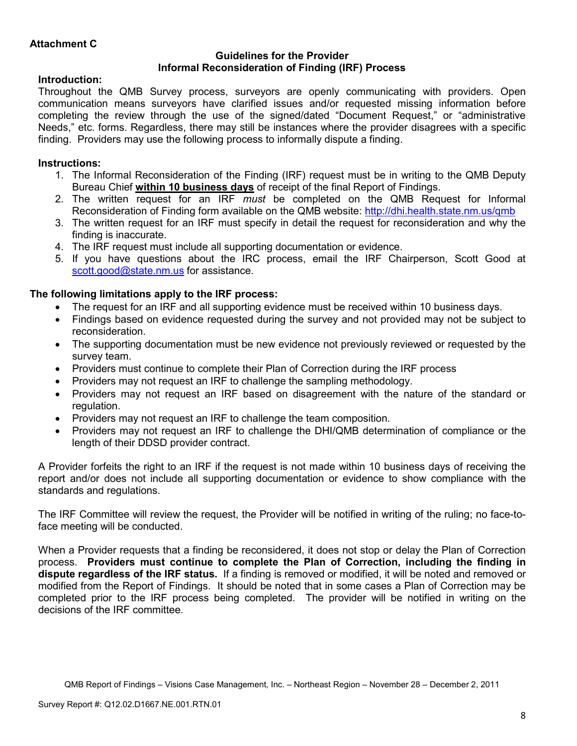### **Guidelines for the Provider Informal Reconsideration of Finding (IRF) Process**

# **Introduction:**

Throughout the QMB Survey process, surveyors are openly communicating with providers. Open communication means surveyors have clarified issues and/or requested missing information before completing the review through the use of the signed/dated "Document Request," or "administrative Needs," etc. forms. Regardless, there may still be instances where the provider disagrees with a specific finding. Providers may use the following process to informally dispute a finding.

# **Instructions:**

- 1. The Informal Reconsideration of the Finding (IRF) request must be in writing to the QMB Deputy Bureau Chief **within 10 business days** of receipt of the final Report of Findings.
- 2. The written request for an IRF *must* be completed on the QMB Request for Informal Reconsideration of Finding form available on the QMB website: http://dhi.health.state.nm.us/qmb
- 3. The written request for an IRF must specify in detail the request for reconsideration and why the finding is inaccurate.
- 4. The IRF request must include all supporting documentation or evidence.
- 5. If you have questions about the IRC process, email the IRF Chairperson, Scott Good at scott.good@state.nm.us for assistance.

# **The following limitations apply to the IRF process:**

- The request for an IRF and all supporting evidence must be received within 10 business days.
- Findings based on evidence requested during the survey and not provided may not be subject to reconsideration.
- The supporting documentation must be new evidence not previously reviewed or requested by the survey team.
- Providers must continue to complete their Plan of Correction during the IRF process
- Providers may not request an IRF to challenge the sampling methodology.
- Providers may not request an IRF based on disagreement with the nature of the standard or regulation.
- Providers may not request an IRF to challenge the team composition.
- Providers may not request an IRF to challenge the DHI/QMB determination of compliance or the length of their DDSD provider contract.

A Provider forfeits the right to an IRF if the request is not made within 10 business days of receiving the report and/or does not include all supporting documentation or evidence to show compliance with the standards and regulations.

The IRF Committee will review the request, the Provider will be notified in writing of the ruling; no face-toface meeting will be conducted.

When a Provider requests that a finding be reconsidered, it does not stop or delay the Plan of Correction process. **Providers must continue to complete the Plan of Correction, including the finding in dispute regardless of the IRF status.** If a finding is removed or modified, it will be noted and removed or modified from the Report of Findings. It should be noted that in some cases a Plan of Correction may be completed prior to the IRF process being completed. The provider will be notified in writing on the decisions of the IRF committee.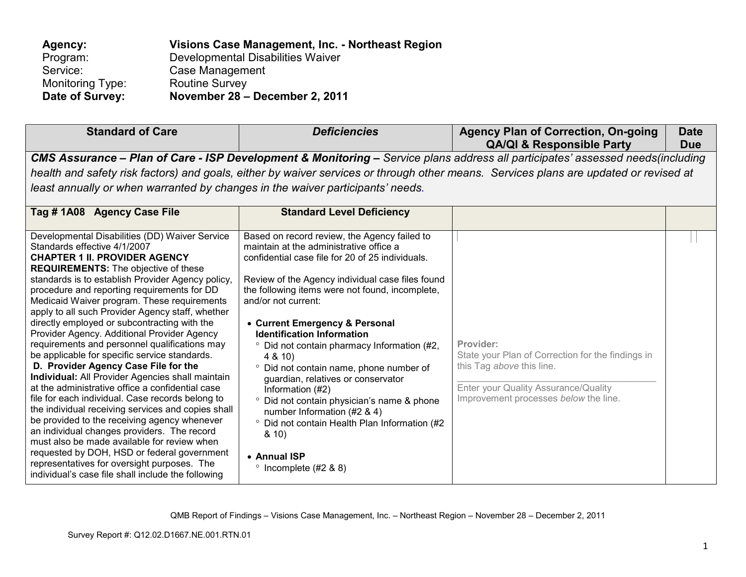| Agency:          | Visions Case Management, Inc. - Northeast Region |
|------------------|--------------------------------------------------|
| Program:         | Developmental Disabilities Waiver                |
| Service:         | Case Management                                  |
| Monitoring Type: | <b>Routine Survey</b>                            |
| Date of Survey:  | November 28 - December 2, 2011                   |

| <b>Standard of Care</b>                                                                                                                                                                                                                                                                                                                                                                                                                                                                                                                                                                                                                                                                                                                                                                                                                                                                                                                                                                                                                                                                                                                   | <b>Deficiencies</b>                                                                                                                                                                                                                                                                                                                                                                                                                                                                                                                                                                                                                                                                                                          | <b>Agency Plan of Correction, On-going</b><br><b>QA/QI &amp; Responsible Party</b>                                                                                                                                                                                      | <b>Date</b><br><b>Due</b> |
|-------------------------------------------------------------------------------------------------------------------------------------------------------------------------------------------------------------------------------------------------------------------------------------------------------------------------------------------------------------------------------------------------------------------------------------------------------------------------------------------------------------------------------------------------------------------------------------------------------------------------------------------------------------------------------------------------------------------------------------------------------------------------------------------------------------------------------------------------------------------------------------------------------------------------------------------------------------------------------------------------------------------------------------------------------------------------------------------------------------------------------------------|------------------------------------------------------------------------------------------------------------------------------------------------------------------------------------------------------------------------------------------------------------------------------------------------------------------------------------------------------------------------------------------------------------------------------------------------------------------------------------------------------------------------------------------------------------------------------------------------------------------------------------------------------------------------------------------------------------------------------|-------------------------------------------------------------------------------------------------------------------------------------------------------------------------------------------------------------------------------------------------------------------------|---------------------------|
| least annually or when warranted by changes in the waiver participants' needs.                                                                                                                                                                                                                                                                                                                                                                                                                                                                                                                                                                                                                                                                                                                                                                                                                                                                                                                                                                                                                                                            |                                                                                                                                                                                                                                                                                                                                                                                                                                                                                                                                                                                                                                                                                                                              | CMS Assurance - Plan of Care - ISP Development & Monitoring - Service plans address all participates' assessed needs(including<br>health and safety risk factors) and goals, either by waiver services or through other means. Services plans are updated or revised at |                           |
| Tag #1A08 Agency Case File                                                                                                                                                                                                                                                                                                                                                                                                                                                                                                                                                                                                                                                                                                                                                                                                                                                                                                                                                                                                                                                                                                                | <b>Standard Level Deficiency</b>                                                                                                                                                                                                                                                                                                                                                                                                                                                                                                                                                                                                                                                                                             |                                                                                                                                                                                                                                                                         |                           |
| Developmental Disabilities (DD) Waiver Service<br>Standards effective 4/1/2007<br><b>CHAPTER 1 II. PROVIDER AGENCY</b><br><b>REQUIREMENTS:</b> The objective of these<br>standards is to establish Provider Agency policy,<br>procedure and reporting requirements for DD<br>Medicaid Waiver program. These requirements<br>apply to all such Provider Agency staff, whether<br>directly employed or subcontracting with the<br>Provider Agency. Additional Provider Agency<br>requirements and personnel qualifications may<br>be applicable for specific service standards.<br>D. Provider Agency Case File for the<br>Individual: All Provider Agencies shall maintain<br>at the administrative office a confidential case<br>file for each individual. Case records belong to<br>the individual receiving services and copies shall<br>be provided to the receiving agency whenever<br>an individual changes providers. The record<br>must also be made available for review when<br>requested by DOH, HSD or federal government<br>representatives for oversight purposes. The<br>individual's case file shall include the following | Based on record review, the Agency failed to<br>maintain at the administrative office a<br>confidential case file for 20 of 25 individuals.<br>Review of the Agency individual case files found<br>the following items were not found, incomplete,<br>and/or not current:<br>• Current Emergency & Personal<br><b>Identification Information</b><br><sup>o</sup> Did not contain pharmacy Information (#2,<br>4 & 10)<br>° Did not contain name, phone number of<br>guardian, relatives or conservator<br>Information (#2)<br>° Did not contain physician's name & phone<br>number Information (#2 & 4)<br><sup>o</sup> Did not contain Health Plan Information (#2<br>8.10<br>• Annual ISP<br>$\degree$ Incomplete (#2 & 8) | Provider:<br>State your Plan of Correction for the findings in<br>this Tag above this line.<br>Enter your Quality Assurance/Quality<br>Improvement processes below the line.                                                                                            |                           |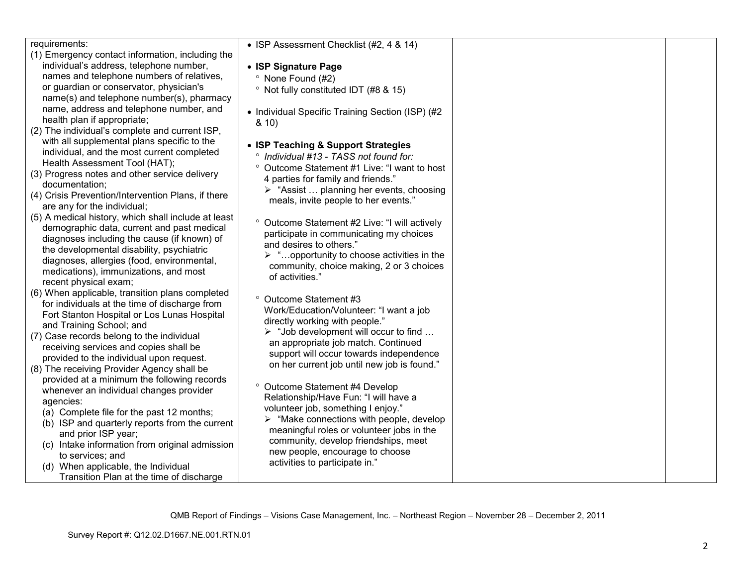| requirements:                                       | • ISP Assessment Checklist (#2, 4 & 14)                   |  |
|-----------------------------------------------------|-----------------------------------------------------------|--|
| (1) Emergency contact information, including the    |                                                           |  |
| individual's address, telephone number,             | • ISP Signature Page                                      |  |
| names and telephone numbers of relatives,           | <sup>o</sup> None Found (#2)                              |  |
| or guardian or conservator, physician's             | <sup>o</sup> Not fully constituted IDT (#8 & 15)          |  |
| name(s) and telephone number(s), pharmacy           |                                                           |  |
| name, address and telephone number, and             |                                                           |  |
| health plan if appropriate;                         | • Individual Specific Training Section (ISP) (#2          |  |
| (2) The individual's complete and current ISP,      | 8.10                                                      |  |
| with all supplemental plans specific to the         |                                                           |  |
| individual, and the most current completed          | • ISP Teaching & Support Strategies                       |  |
|                                                     | ° Individual #13 - TASS not found for:                    |  |
| Health Assessment Tool (HAT);                       | ° Outcome Statement #1 Live: "I want to host              |  |
| (3) Progress notes and other service delivery       | 4 parties for family and friends."                        |  |
| documentation;                                      | $\triangleright$ "Assist  planning her events, choosing   |  |
| (4) Crisis Prevention/Intervention Plans, if there  | meals, invite people to her events."                      |  |
| are any for the individual;                         |                                                           |  |
| (5) A medical history, which shall include at least | <sup>o</sup> Outcome Statement #2 Live: "I will actively  |  |
| demographic data, current and past medical          | participate in communicating my choices                   |  |
| diagnoses including the cause (if known) of         | and desires to others."                                   |  |
| the developmental disability, psychiatric           |                                                           |  |
| diagnoses, allergies (food, environmental,          | $\triangleright$ "opportunity to choose activities in the |  |
| medications), immunizations, and most               | community, choice making, 2 or 3 choices                  |  |
| recent physical exam;                               | of activities."                                           |  |
| (6) When applicable, transition plans completed     |                                                           |  |
| for individuals at the time of discharge from       | ° Outcome Statement #3                                    |  |
| Fort Stanton Hospital or Los Lunas Hospital         | Work/Education/Volunteer: "I want a job                   |  |
| and Training School; and                            | directly working with people."                            |  |
| (7) Case records belong to the individual           | $\triangleright$ "Job development will occur to find      |  |
| receiving services and copies shall be              | an appropriate job match. Continued                       |  |
| provided to the individual upon request.            | support will occur towards independence                   |  |
|                                                     | on her current job until new job is found."               |  |
| (8) The receiving Provider Agency shall be          |                                                           |  |
| provided at a minimum the following records         | ° Outcome Statement #4 Develop                            |  |
| whenever an individual changes provider             | Relationship/Have Fun: "I will have a                     |  |
| agencies:                                           | volunteer job, something I enjoy."                        |  |
| (a) Complete file for the past 12 months;           | $\triangleright$ "Make connections with people, develop   |  |
| (b) ISP and quarterly reports from the current      | meaningful roles or volunteer jobs in the                 |  |
| and prior ISP year;                                 | community, develop friendships, meet                      |  |
| (c) Intake information from original admission      | new people, encourage to choose                           |  |
| to services; and                                    |                                                           |  |
| (d) When applicable, the Individual                 | activities to participate in."                            |  |
| Transition Plan at the time of discharge            |                                                           |  |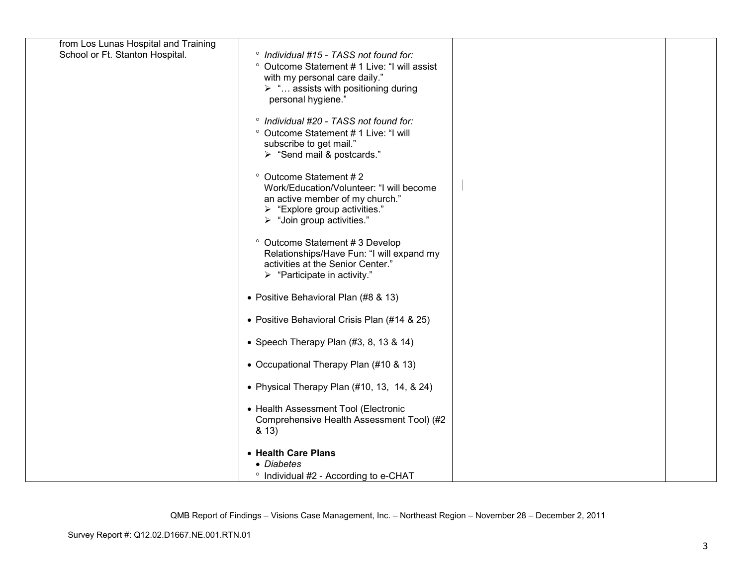| from Los Lunas Hospital and Training |                                                                                  |  |
|--------------------------------------|----------------------------------------------------------------------------------|--|
| School or Ft. Stanton Hospital.      | ° Individual #15 - TASS not found for:                                           |  |
|                                      | ° Outcome Statement # 1 Live: "I will assist<br>with my personal care daily."    |  |
|                                      | $\triangleright$ " assists with positioning during                               |  |
|                                      | personal hygiene."                                                               |  |
|                                      |                                                                                  |  |
|                                      | ° Individual #20 - TASS not found for:<br>° Outcome Statement # 1 Live: "I will  |  |
|                                      | subscribe to get mail."                                                          |  |
|                                      | > "Send mail & postcards."                                                       |  |
|                                      | ° Outcome Statement #2                                                           |  |
|                                      | Work/Education/Volunteer: "I will become                                         |  |
|                                      | an active member of my church."                                                  |  |
|                                      | $\triangleright$ "Explore group activities."                                     |  |
|                                      | > "Join group activities."                                                       |  |
|                                      | ° Outcome Statement # 3 Develop                                                  |  |
|                                      | Relationships/Have Fun: "I will expand my                                        |  |
|                                      | activities at the Senior Center."<br>$\triangleright$ "Participate in activity." |  |
|                                      |                                                                                  |  |
|                                      | • Positive Behavioral Plan (#8 & 13)                                             |  |
|                                      | • Positive Behavioral Crisis Plan (#14 & 25)                                     |  |
|                                      | • Speech Therapy Plan $(#3, 8, 13, 8, 14)$                                       |  |
|                                      | • Occupational Therapy Plan (#10 & 13)                                           |  |
|                                      |                                                                                  |  |
|                                      | • Physical Therapy Plan $(\#10, 13, 14, 8, 24)$                                  |  |
|                                      | • Health Assessment Tool (Electronic                                             |  |
|                                      | Comprehensive Health Assessment Tool) (#2                                        |  |
|                                      | & 13)                                                                            |  |
|                                      | • Health Care Plans                                                              |  |
|                                      | • Diabetes                                                                       |  |
|                                      | ° Individual #2 - According to e-CHAT                                            |  |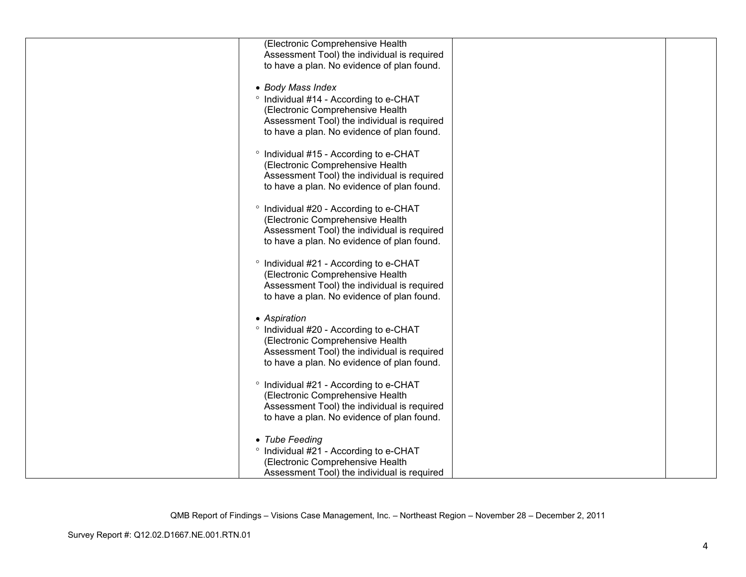| (Electronic Comprehensive Health            |  |
|---------------------------------------------|--|
| Assessment Tool) the individual is required |  |
| to have a plan. No evidence of plan found.  |  |
|                                             |  |
|                                             |  |
| • Body Mass Index                           |  |
| ° Individual #14 - According to e-CHAT      |  |
| (Electronic Comprehensive Health            |  |
| Assessment Tool) the individual is required |  |
| to have a plan. No evidence of plan found.  |  |
|                                             |  |
| ° Individual #15 - According to e-CHAT      |  |
| (Electronic Comprehensive Health            |  |
| Assessment Tool) the individual is required |  |
| to have a plan. No evidence of plan found.  |  |
|                                             |  |
| ° Individual #20 - According to e-CHAT      |  |
| (Electronic Comprehensive Health            |  |
| Assessment Tool) the individual is required |  |
|                                             |  |
| to have a plan. No evidence of plan found.  |  |
|                                             |  |
| ° Individual #21 - According to e-CHAT      |  |
| (Electronic Comprehensive Health            |  |
| Assessment Tool) the individual is required |  |
| to have a plan. No evidence of plan found.  |  |
|                                             |  |
| • Aspiration                                |  |
| ° Individual #20 - According to e-CHAT      |  |
| (Electronic Comprehensive Health            |  |
| Assessment Tool) the individual is required |  |
| to have a plan. No evidence of plan found.  |  |
|                                             |  |
| ° Individual #21 - According to e-CHAT      |  |
| (Electronic Comprehensive Health            |  |
| Assessment Tool) the individual is required |  |
| to have a plan. No evidence of plan found.  |  |
|                                             |  |
|                                             |  |
| • Tube Feeding                              |  |
| ° Individual #21 - According to e-CHAT      |  |
| (Electronic Comprehensive Health            |  |
| Assessment Tool) the individual is required |  |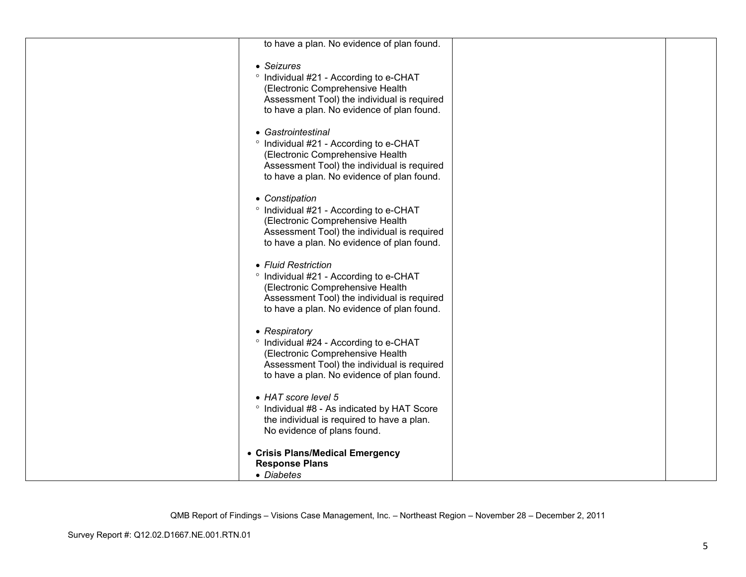| to have a plan. No evidence of plan found.                                                                                              |  |
|-----------------------------------------------------------------------------------------------------------------------------------------|--|
| • Seizures<br>° Individual #21 - According to e-CHAT<br>(Electronic Comprehensive Health<br>Assessment Tool) the individual is required |  |
| to have a plan. No evidence of plan found.                                                                                              |  |
| • Gastrointestinal<br>° Individual #21 - According to e-CHAT                                                                            |  |
| (Electronic Comprehensive Health<br>Assessment Tool) the individual is required<br>to have a plan. No evidence of plan found.           |  |
| • Constipation<br>° Individual #21 - According to e-CHAT                                                                                |  |
| (Electronic Comprehensive Health<br>Assessment Tool) the individual is required<br>to have a plan. No evidence of plan found.           |  |
| • Fluid Restriction<br>° Individual #21 - According to e-CHAT                                                                           |  |
| (Electronic Comprehensive Health<br>Assessment Tool) the individual is required<br>to have a plan. No evidence of plan found.           |  |
| • Respiratory<br>° Individual #24 - According to e-CHAT                                                                                 |  |
| (Electronic Comprehensive Health<br>Assessment Tool) the individual is required                                                         |  |
| to have a plan. No evidence of plan found.                                                                                              |  |
| • HAT score level 5<br>° Individual #8 - As indicated by HAT Score                                                                      |  |
| the individual is required to have a plan.<br>No evidence of plans found.                                                               |  |
| • Crisis Plans/Medical Emergency<br><b>Response Plans</b>                                                                               |  |
| • Diabetes                                                                                                                              |  |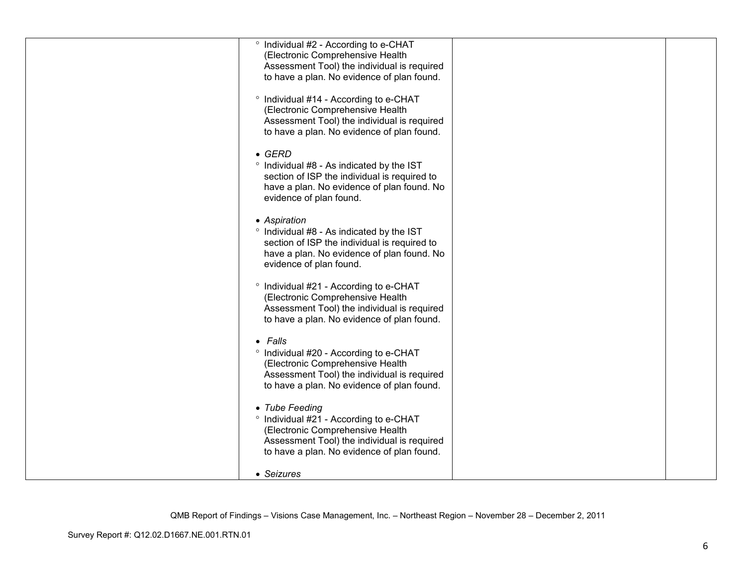| ° Individual #2 - According to e-CHAT<br>(Electronic Comprehensive Health                 |  |
|-------------------------------------------------------------------------------------------|--|
| Assessment Tool) the individual is required                                               |  |
| to have a plan. No evidence of plan found.                                                |  |
| ° Individual #14 - According to e-CHAT<br>(Electronic Comprehensive Health                |  |
| Assessment Tool) the individual is required                                               |  |
| to have a plan. No evidence of plan found.                                                |  |
| $\bullet$ GERD                                                                            |  |
| ° Individual #8 - As indicated by the IST<br>section of ISP the individual is required to |  |
| have a plan. No evidence of plan found. No                                                |  |
| evidence of plan found.                                                                   |  |
| • Aspiration<br>° Individual #8 - As indicated by the IST                                 |  |
| section of ISP the individual is required to                                              |  |
| have a plan. No evidence of plan found. No<br>evidence of plan found.                     |  |
|                                                                                           |  |
| <sup>o</sup> Individual #21 - According to e-CHAT<br>(Electronic Comprehensive Health     |  |
| Assessment Tool) the individual is required<br>to have a plan. No evidence of plan found. |  |
|                                                                                           |  |
| • Falls<br>° Individual #20 - According to e-CHAT                                         |  |
| (Electronic Comprehensive Health                                                          |  |
| Assessment Tool) the individual is required<br>to have a plan. No evidence of plan found. |  |
| • Tube Feeding                                                                            |  |
| ° Individual #21 - According to e-CHAT                                                    |  |
| (Electronic Comprehensive Health<br>Assessment Tool) the individual is required           |  |
| to have a plan. No evidence of plan found.                                                |  |
| • Seizures                                                                                |  |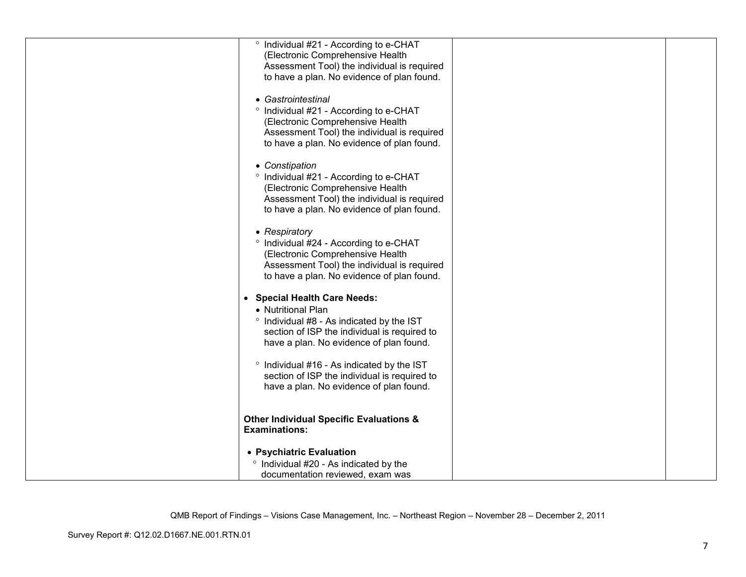| ° Individual #21 - According to e-CHAT             |  |
|----------------------------------------------------|--|
| (Electronic Comprehensive Health                   |  |
| Assessment Tool) the individual is required        |  |
| to have a plan. No evidence of plan found.         |  |
|                                                    |  |
| • Gastrointestinal                                 |  |
|                                                    |  |
| ° Individual #21 - According to e-CHAT             |  |
| (Electronic Comprehensive Health                   |  |
| Assessment Tool) the individual is required        |  |
| to have a plan. No evidence of plan found.         |  |
|                                                    |  |
| • Constipation                                     |  |
| ° Individual #21 - According to e-CHAT             |  |
| (Electronic Comprehensive Health                   |  |
|                                                    |  |
| Assessment Tool) the individual is required        |  |
| to have a plan. No evidence of plan found.         |  |
|                                                    |  |
| • Respiratory                                      |  |
| ° Individual #24 - According to e-CHAT             |  |
| (Electronic Comprehensive Health                   |  |
| Assessment Tool) the individual is required        |  |
|                                                    |  |
| to have a plan. No evidence of plan found.         |  |
|                                                    |  |
| • Special Health Care Needs:                       |  |
| • Nutritional Plan                                 |  |
| ° Individual #8 - As indicated by the IST          |  |
| section of ISP the individual is required to       |  |
| have a plan. No evidence of plan found.            |  |
|                                                    |  |
|                                                    |  |
| ° Individual #16 - As indicated by the IST         |  |
| section of ISP the individual is required to       |  |
| have a plan. No evidence of plan found.            |  |
|                                                    |  |
|                                                    |  |
| <b>Other Individual Specific Evaluations &amp;</b> |  |
| <b>Examinations:</b>                               |  |
|                                                    |  |
| • Psychiatric Evaluation                           |  |
| ° Individual #20 - As indicated by the             |  |
| documentation reviewed, exam was                   |  |
|                                                    |  |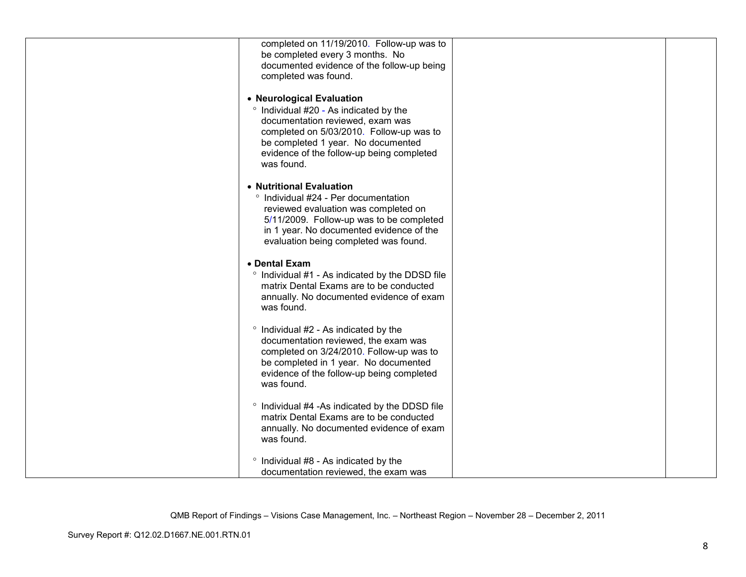| completed on 11/19/2010. Follow-up was to<br>be completed every 3 months. No         |  |
|--------------------------------------------------------------------------------------|--|
| documented evidence of the follow-up being<br>completed was found.                   |  |
| • Neurological Evaluation                                                            |  |
| ° Individual #20 - As indicated by the<br>documentation reviewed, exam was           |  |
| completed on 5/03/2010. Follow-up was to<br>be completed 1 year. No documented       |  |
| evidence of the follow-up being completed<br>was found.                              |  |
| • Nutritional Evaluation<br>° Individual #24 - Per documentation                     |  |
| reviewed evaluation was completed on                                                 |  |
| 5/11/2009. Follow-up was to be completed<br>in 1 year. No documented evidence of the |  |
| evaluation being completed was found.                                                |  |
| • Dental Exam<br>° Individual #1 - As indicated by the DDSD file                     |  |
| matrix Dental Exams are to be conducted<br>annually. No documented evidence of exam  |  |
| was found.                                                                           |  |
| ° Individual #2 - As indicated by the<br>documentation reviewed, the exam was        |  |
| completed on 3/24/2010. Follow-up was to<br>be completed in 1 year. No documented    |  |
| evidence of the follow-up being completed<br>was found.                              |  |
| ° Individual #4 -As indicated by the DDSD file                                       |  |
| matrix Dental Exams are to be conducted<br>annually. No documented evidence of exam  |  |
| was found.                                                                           |  |
| ° Individual #8 - As indicated by the<br>documentation reviewed, the exam was        |  |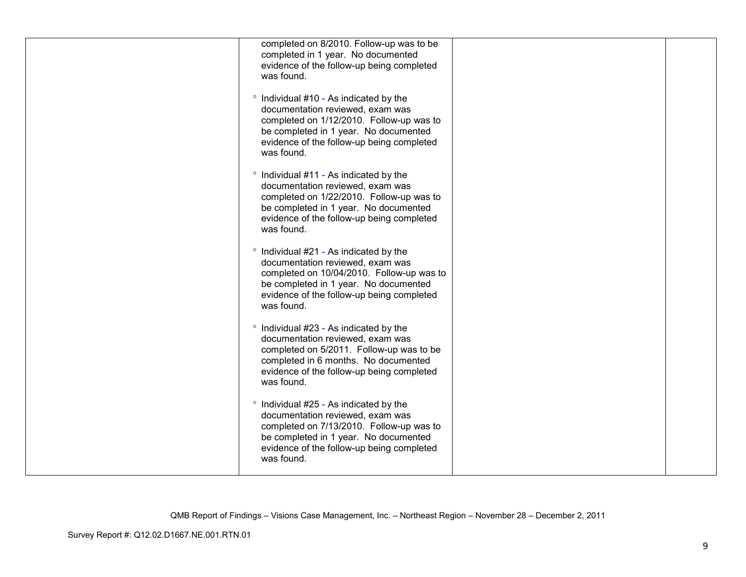| completed on 8/2010. Follow-up was to be<br>completed in 1 year. No documented<br>evidence of the follow-up being completed<br>was found.                                                                                   |  |
|-----------------------------------------------------------------------------------------------------------------------------------------------------------------------------------------------------------------------------|--|
| ° Individual #10 - As indicated by the<br>documentation reviewed, exam was<br>completed on 1/12/2010. Follow-up was to<br>be completed in 1 year. No documented<br>evidence of the follow-up being completed<br>was found.  |  |
| ° Individual #11 - As indicated by the<br>documentation reviewed, exam was<br>completed on 1/22/2010. Follow-up was to<br>be completed in 1 year. No documented<br>evidence of the follow-up being completed<br>was found.  |  |
| ° Individual #21 - As indicated by the<br>documentation reviewed, exam was<br>completed on 10/04/2010. Follow-up was to<br>be completed in 1 year. No documented<br>evidence of the follow-up being completed<br>was found. |  |
| ° Individual #23 - As indicated by the<br>documentation reviewed, exam was<br>completed on 5/2011. Follow-up was to be<br>completed in 6 months. No documented<br>evidence of the follow-up being completed<br>was found.   |  |
| ° Individual #25 - As indicated by the<br>documentation reviewed, exam was<br>completed on 7/13/2010. Follow-up was to<br>be completed in 1 year. No documented<br>evidence of the follow-up being completed<br>was found.  |  |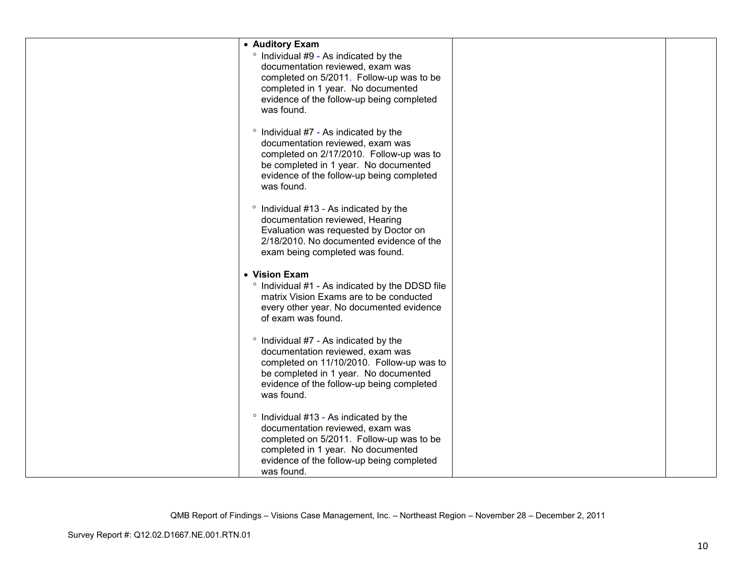| • Auditory Exam<br>° Individual #9 - As indicated by the<br>documentation reviewed, exam was<br>completed on 5/2011. Follow-up was to be<br>completed in 1 year. No documented<br>evidence of the follow-up being completed             |  |
|-----------------------------------------------------------------------------------------------------------------------------------------------------------------------------------------------------------------------------------------|--|
| was found.<br>° Individual #7 - As indicated by the<br>documentation reviewed, exam was<br>completed on 2/17/2010. Follow-up was to<br>be completed in 1 year. No documented<br>evidence of the follow-up being completed<br>was found. |  |
| ° Individual #13 - As indicated by the<br>documentation reviewed, Hearing<br>Evaluation was requested by Doctor on<br>2/18/2010. No documented evidence of the<br>exam being completed was found.                                       |  |
| • Vision Exam<br>° Individual #1 - As indicated by the DDSD file<br>matrix Vision Exams are to be conducted<br>every other year. No documented evidence<br>of exam was found.                                                           |  |
| $\degree$ Individual #7 - As indicated by the<br>documentation reviewed, exam was<br>completed on 11/10/2010. Follow-up was to<br>be completed in 1 year. No documented<br>evidence of the follow-up being completed<br>was found.      |  |
| ° Individual #13 - As indicated by the<br>documentation reviewed, exam was<br>completed on 5/2011. Follow-up was to be<br>completed in 1 year. No documented<br>evidence of the follow-up being completed<br>was found.                 |  |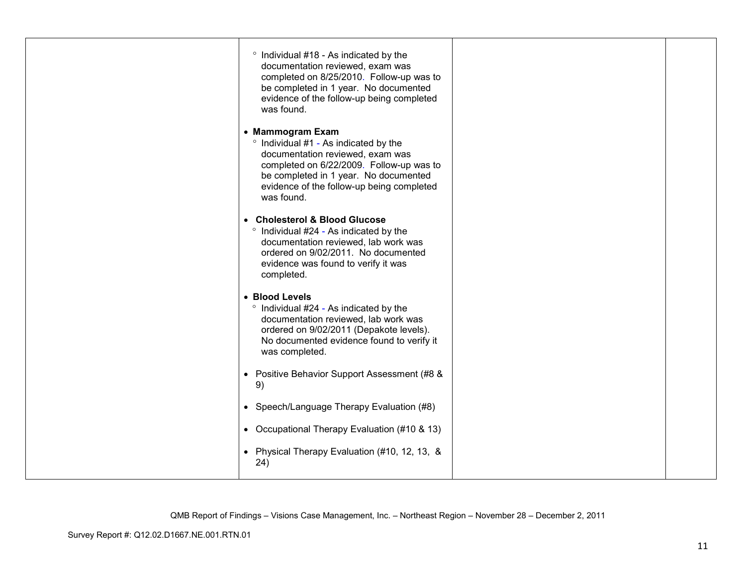| ° Individual #18 - As indicated by the<br>documentation reviewed, exam was<br>completed on 8/25/2010. Follow-up was to<br>be completed in 1 year. No documented<br>evidence of the follow-up being completed<br>was found.                    |  |
|-----------------------------------------------------------------------------------------------------------------------------------------------------------------------------------------------------------------------------------------------|--|
| • Mammogram Exam<br>° Individual #1 - As indicated by the<br>documentation reviewed, exam was<br>completed on 6/22/2009. Follow-up was to<br>be completed in 1 year. No documented<br>evidence of the follow-up being completed<br>was found. |  |
| • Cholesterol & Blood Glucose<br><sup>o</sup> Individual #24 - As indicated by the<br>documentation reviewed, lab work was<br>ordered on 9/02/2011. No documented<br>evidence was found to verify it was<br>completed.                        |  |
| • Blood Levels<br>° Individual #24 - As indicated by the<br>documentation reviewed, lab work was<br>ordered on 9/02/2011 (Depakote levels).<br>No documented evidence found to verify it<br>was completed.                                    |  |
| • Positive Behavior Support Assessment (#8 &<br>9)                                                                                                                                                                                            |  |
| • Speech/Language Therapy Evaluation (#8)                                                                                                                                                                                                     |  |
| • Occupational Therapy Evaluation (#10 & 13)                                                                                                                                                                                                  |  |
| • Physical Therapy Evaluation (#10, 12, 13, &<br>24)                                                                                                                                                                                          |  |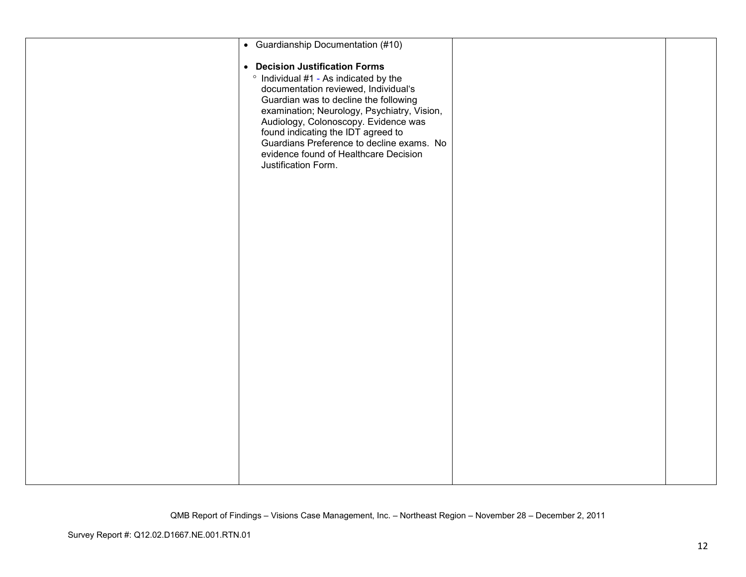| • Guardianship Documentation (#10)                                                                                                                                                                                                                                                                                                                                                                 |  |
|----------------------------------------------------------------------------------------------------------------------------------------------------------------------------------------------------------------------------------------------------------------------------------------------------------------------------------------------------------------------------------------------------|--|
| • Decision Justification Forms<br>° Individual #1 - As indicated by the<br>documentation reviewed, Individual's<br>Guardian was to decline the following<br>examination; Neurology, Psychiatry, Vision,<br>Audiology, Colonoscopy. Evidence was<br>found indicating the IDT agreed to<br>Guardians Preference to decline exams. No<br>evidence found of Healthcare Decision<br>Justification Form. |  |
|                                                                                                                                                                                                                                                                                                                                                                                                    |  |
|                                                                                                                                                                                                                                                                                                                                                                                                    |  |
|                                                                                                                                                                                                                                                                                                                                                                                                    |  |
|                                                                                                                                                                                                                                                                                                                                                                                                    |  |
|                                                                                                                                                                                                                                                                                                                                                                                                    |  |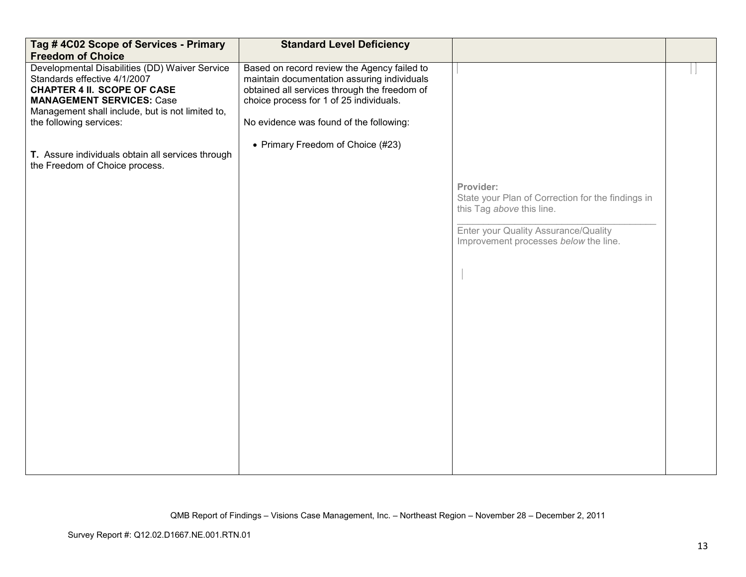| Tag #4C02 Scope of Services - Primary<br><b>Freedom of Choice</b>                                                                                                                                                                       | <b>Standard Level Deficiency</b>                                                                                                                                                                                                 |                                                                                             |  |
|-----------------------------------------------------------------------------------------------------------------------------------------------------------------------------------------------------------------------------------------|----------------------------------------------------------------------------------------------------------------------------------------------------------------------------------------------------------------------------------|---------------------------------------------------------------------------------------------|--|
| Developmental Disabilities (DD) Waiver Service<br>Standards effective 4/1/2007<br><b>CHAPTER 4 II. SCOPE OF CASE</b><br><b>MANAGEMENT SERVICES: Case</b><br>Management shall include, but is not limited to,<br>the following services: | Based on record review the Agency failed to<br>maintain documentation assuring individuals<br>obtained all services through the freedom of<br>choice process for 1 of 25 individuals.<br>No evidence was found of the following: |                                                                                             |  |
| T. Assure individuals obtain all services through<br>the Freedom of Choice process.                                                                                                                                                     | • Primary Freedom of Choice (#23)                                                                                                                                                                                                |                                                                                             |  |
|                                                                                                                                                                                                                                         |                                                                                                                                                                                                                                  | Provider:<br>State your Plan of Correction for the findings in<br>this Tag above this line. |  |
|                                                                                                                                                                                                                                         |                                                                                                                                                                                                                                  | Enter your Quality Assurance/Quality<br>Improvement processes below the line.               |  |
|                                                                                                                                                                                                                                         |                                                                                                                                                                                                                                  |                                                                                             |  |
|                                                                                                                                                                                                                                         |                                                                                                                                                                                                                                  |                                                                                             |  |
|                                                                                                                                                                                                                                         |                                                                                                                                                                                                                                  |                                                                                             |  |
|                                                                                                                                                                                                                                         |                                                                                                                                                                                                                                  |                                                                                             |  |
|                                                                                                                                                                                                                                         |                                                                                                                                                                                                                                  |                                                                                             |  |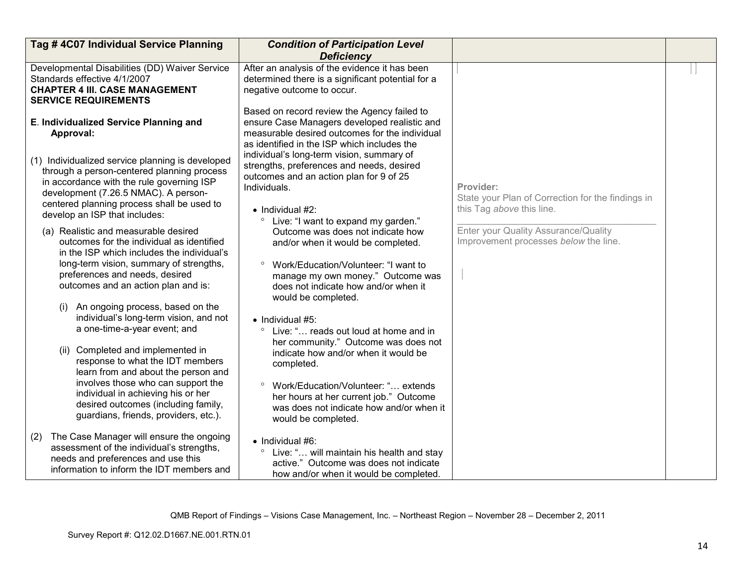| Tag #4C07 Individual Service Planning                                                                                                                                                                                                                                                                                                                                                                                                                                                                                          | <b>Condition of Participation Level</b>                                                                                                                                                                                                                                                                                                                                                                                                                        |                                                                                             |  |
|--------------------------------------------------------------------------------------------------------------------------------------------------------------------------------------------------------------------------------------------------------------------------------------------------------------------------------------------------------------------------------------------------------------------------------------------------------------------------------------------------------------------------------|----------------------------------------------------------------------------------------------------------------------------------------------------------------------------------------------------------------------------------------------------------------------------------------------------------------------------------------------------------------------------------------------------------------------------------------------------------------|---------------------------------------------------------------------------------------------|--|
|                                                                                                                                                                                                                                                                                                                                                                                                                                                                                                                                | <b>Deficiency</b>                                                                                                                                                                                                                                                                                                                                                                                                                                              |                                                                                             |  |
| Developmental Disabilities (DD) Waiver Service<br>Standards effective 4/1/2007<br><b>CHAPTER 4 III. CASE MANAGEMENT</b><br><b>SERVICE REQUIREMENTS</b>                                                                                                                                                                                                                                                                                                                                                                         | After an analysis of the evidence it has been<br>determined there is a significant potential for a<br>negative outcome to occur.<br>Based on record review the Agency failed to                                                                                                                                                                                                                                                                                |                                                                                             |  |
| E. Individualized Service Planning and<br>Approval:                                                                                                                                                                                                                                                                                                                                                                                                                                                                            | ensure Case Managers developed realistic and<br>measurable desired outcomes for the individual<br>as identified in the ISP which includes the                                                                                                                                                                                                                                                                                                                  |                                                                                             |  |
| (1) Individualized service planning is developed<br>through a person-centered planning process<br>in accordance with the rule governing ISP<br>development (7.26.5 NMAC). A person-<br>centered planning process shall be used to<br>develop an ISP that includes:                                                                                                                                                                                                                                                             | individual's long-term vision, summary of<br>strengths, preferences and needs, desired<br>outcomes and an action plan for 9 of 25<br>Individuals.<br>$\bullet$ Individual #2:<br>Live: "I want to expand my garden."<br>$\circ$                                                                                                                                                                                                                                | Provider:<br>State your Plan of Correction for the findings in<br>this Tag above this line. |  |
| (a) Realistic and measurable desired<br>outcomes for the individual as identified<br>in the ISP which includes the individual's<br>long-term vision, summary of strengths,<br>preferences and needs, desired<br>outcomes and an action plan and is:<br>An ongoing process, based on the<br>(i)<br>individual's long-term vision, and not<br>a one-time-a-year event; and<br>(ii) Completed and implemented in<br>response to what the IDT members<br>learn from and about the person and<br>involves those who can support the | Outcome was does not indicate how<br>and/or when it would be completed.<br>Work/Education/Volunteer: "I want to<br>$\circ$<br>manage my own money." Outcome was<br>does not indicate how and/or when it<br>would be completed.<br>$\bullet$ Individual #5:<br>Live: " reads out loud at home and in<br>$\circ$<br>her community." Outcome was does not<br>indicate how and/or when it would be<br>completed.<br>$\circ$<br>Work/Education/Volunteer: " extends | Enter your Quality Assurance/Quality<br>Improvement processes below the line.               |  |
| individual in achieving his or her<br>desired outcomes (including family,<br>guardians, friends, providers, etc.).<br>The Case Manager will ensure the ongoing<br>(2)<br>assessment of the individual's strengths,<br>needs and preferences and use this<br>information to inform the IDT members and                                                                                                                                                                                                                          | her hours at her current job." Outcome<br>was does not indicate how and/or when it<br>would be completed.<br>$\bullet$ Individual #6:<br>Live: " will maintain his health and stay<br>active." Outcome was does not indicate<br>how and/or when it would be completed.                                                                                                                                                                                         |                                                                                             |  |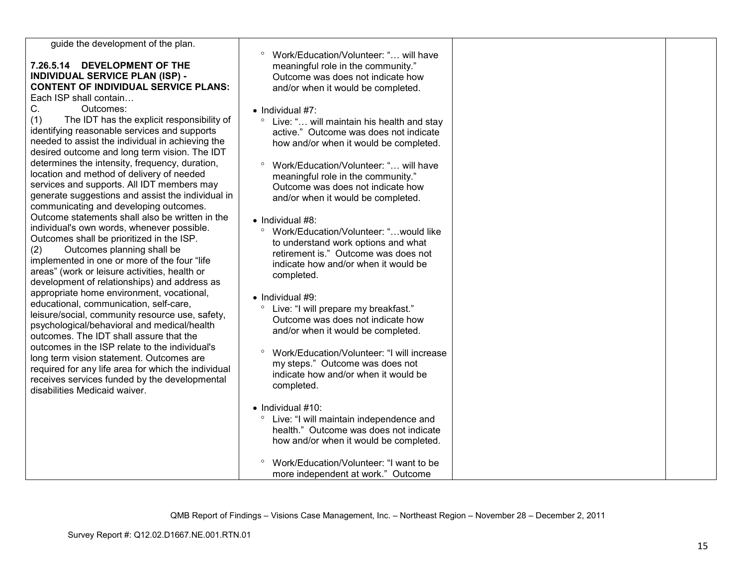| guide the development of the plan.<br>7.26.5.14 DEVELOPMENT OF THE<br><b>INDIVIDUAL SERVICE PLAN (ISP) -</b><br><b>CONTENT OF INDIVIDUAL SERVICE PLANS:</b><br>Each ISP shall contain<br>C.<br>Outcomes:<br>(1)<br>The IDT has the explicit responsibility of<br>identifying reasonable services and supports<br>needed to assist the individual in achieving the<br>desired outcome and long term vision. The IDT<br>determines the intensity, frequency, duration,<br>location and method of delivery of needed<br>services and supports. All IDT members may<br>generate suggestions and assist the individual in<br>communicating and developing outcomes.<br>Outcome statements shall also be written in the<br>individual's own words, whenever possible.<br>Outcomes shall be prioritized in the ISP.<br>Outcomes planning shall be<br>(2)<br>implemented in one or more of the four "life<br>areas" (work or leisure activities, health or<br>development of relationships) and address as<br>appropriate home environment, vocational,<br>educational, communication, self-care,<br>leisure/social, community resource use, safety,<br>psychological/behavioral and medical/health<br>outcomes. The IDT shall assure that the<br>outcomes in the ISP relate to the individual's<br>long term vision statement. Outcomes are<br>required for any life area for which the individual<br>receives services funded by the developmental<br>disabilities Medicaid waiver. | Work/Education/Volunteer: " will have<br>meaningful role in the community."<br>Outcome was does not indicate how<br>and/or when it would be completed.<br>$\bullet$ Individual #7:<br>Live: " will maintain his health and stay<br>$\circ$<br>active." Outcome was does not indicate<br>how and/or when it would be completed.<br>Work/Education/Volunteer: " will have<br>meaningful role in the community."<br>Outcome was does not indicate how<br>and/or when it would be completed.<br>• Individual #8:<br>Work/Education/Volunteer: " would like<br>to understand work options and what<br>retirement is." Outcome was does not<br>indicate how and/or when it would be<br>completed.<br>$\bullet$ Individual #9:<br>$\circ$<br>Live: "I will prepare my breakfast."<br>Outcome was does not indicate how<br>and/or when it would be completed.<br>Work/Education/Volunteer: "I will increase<br>my steps." Outcome was does not<br>indicate how and/or when it would be<br>completed.<br>$\bullet$ Individual #10: |  |
|-------------------------------------------------------------------------------------------------------------------------------------------------------------------------------------------------------------------------------------------------------------------------------------------------------------------------------------------------------------------------------------------------------------------------------------------------------------------------------------------------------------------------------------------------------------------------------------------------------------------------------------------------------------------------------------------------------------------------------------------------------------------------------------------------------------------------------------------------------------------------------------------------------------------------------------------------------------------------------------------------------------------------------------------------------------------------------------------------------------------------------------------------------------------------------------------------------------------------------------------------------------------------------------------------------------------------------------------------------------------------------------------------------------------------------------------------------------------------------|---------------------------------------------------------------------------------------------------------------------------------------------------------------------------------------------------------------------------------------------------------------------------------------------------------------------------------------------------------------------------------------------------------------------------------------------------------------------------------------------------------------------------------------------------------------------------------------------------------------------------------------------------------------------------------------------------------------------------------------------------------------------------------------------------------------------------------------------------------------------------------------------------------------------------------------------------------------------------------------------------------------------------|--|
|                                                                                                                                                                                                                                                                                                                                                                                                                                                                                                                                                                                                                                                                                                                                                                                                                                                                                                                                                                                                                                                                                                                                                                                                                                                                                                                                                                                                                                                                               |                                                                                                                                                                                                                                                                                                                                                                                                                                                                                                                                                                                                                                                                                                                                                                                                                                                                                                                                                                                                                           |  |
|                                                                                                                                                                                                                                                                                                                                                                                                                                                                                                                                                                                                                                                                                                                                                                                                                                                                                                                                                                                                                                                                                                                                                                                                                                                                                                                                                                                                                                                                               |                                                                                                                                                                                                                                                                                                                                                                                                                                                                                                                                                                                                                                                                                                                                                                                                                                                                                                                                                                                                                           |  |
|                                                                                                                                                                                                                                                                                                                                                                                                                                                                                                                                                                                                                                                                                                                                                                                                                                                                                                                                                                                                                                                                                                                                                                                                                                                                                                                                                                                                                                                                               | Live: "I will maintain independence and                                                                                                                                                                                                                                                                                                                                                                                                                                                                                                                                                                                                                                                                                                                                                                                                                                                                                                                                                                                   |  |
|                                                                                                                                                                                                                                                                                                                                                                                                                                                                                                                                                                                                                                                                                                                                                                                                                                                                                                                                                                                                                                                                                                                                                                                                                                                                                                                                                                                                                                                                               | health." Outcome was does not indicate                                                                                                                                                                                                                                                                                                                                                                                                                                                                                                                                                                                                                                                                                                                                                                                                                                                                                                                                                                                    |  |
|                                                                                                                                                                                                                                                                                                                                                                                                                                                                                                                                                                                                                                                                                                                                                                                                                                                                                                                                                                                                                                                                                                                                                                                                                                                                                                                                                                                                                                                                               | how and/or when it would be completed.                                                                                                                                                                                                                                                                                                                                                                                                                                                                                                                                                                                                                                                                                                                                                                                                                                                                                                                                                                                    |  |
|                                                                                                                                                                                                                                                                                                                                                                                                                                                                                                                                                                                                                                                                                                                                                                                                                                                                                                                                                                                                                                                                                                                                                                                                                                                                                                                                                                                                                                                                               | Work/Education/Volunteer: "I want to be<br>more independent at work." Outcome                                                                                                                                                                                                                                                                                                                                                                                                                                                                                                                                                                                                                                                                                                                                                                                                                                                                                                                                             |  |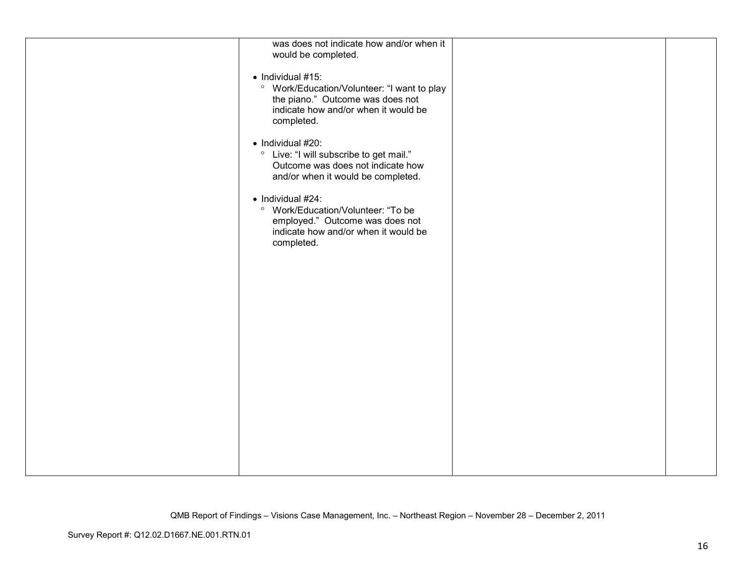| was does not indicate how and/or when it               |  |
|--------------------------------------------------------|--|
| would be completed.                                    |  |
|                                                        |  |
| $\bullet$ Individual #15:                              |  |
|                                                        |  |
| <sup>o</sup> Work/Education/Volunteer: "I want to play |  |
| the piano." Outcome was does not                       |  |
| indicate how and/or when it would be                   |  |
|                                                        |  |
| completed.                                             |  |
|                                                        |  |
| • Individual #20:                                      |  |
|                                                        |  |
| Live: "I will subscribe to get mail."<br>$\circ$       |  |
| Outcome was does not indicate how                      |  |
| and/or when it would be completed.                     |  |
|                                                        |  |
|                                                        |  |
| $\bullet$ Individual #24:                              |  |
| <sup>o</sup> Work/Education/Volunteer: "To be          |  |
| employed." Outcome was does not                        |  |
|                                                        |  |
| indicate how and/or when it would be                   |  |
| completed.                                             |  |
|                                                        |  |
|                                                        |  |
|                                                        |  |
|                                                        |  |
|                                                        |  |
|                                                        |  |
|                                                        |  |
|                                                        |  |
|                                                        |  |
|                                                        |  |
|                                                        |  |
|                                                        |  |
|                                                        |  |
|                                                        |  |
|                                                        |  |
|                                                        |  |
|                                                        |  |
|                                                        |  |
|                                                        |  |
|                                                        |  |
|                                                        |  |
|                                                        |  |
|                                                        |  |
|                                                        |  |
|                                                        |  |
|                                                        |  |
|                                                        |  |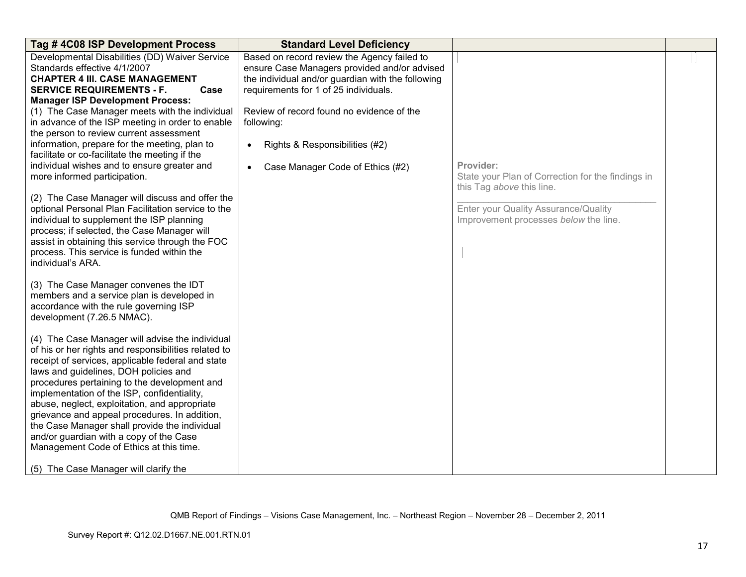| Tag #4C08 ISP Development Process                                                                                                                                                                                                                                                                                                                                                                                                                                                                                                                                                      | <b>Standard Level Deficiency</b>                                                                                                                                                          |                                                                                             |  |
|----------------------------------------------------------------------------------------------------------------------------------------------------------------------------------------------------------------------------------------------------------------------------------------------------------------------------------------------------------------------------------------------------------------------------------------------------------------------------------------------------------------------------------------------------------------------------------------|-------------------------------------------------------------------------------------------------------------------------------------------------------------------------------------------|---------------------------------------------------------------------------------------------|--|
| Developmental Disabilities (DD) Waiver Service<br>Standards effective 4/1/2007<br><b>CHAPTER 4 III. CASE MANAGEMENT</b><br><b>SERVICE REQUIREMENTS - F.</b><br>Case<br><b>Manager ISP Development Process:</b>                                                                                                                                                                                                                                                                                                                                                                         | Based on record review the Agency failed to<br>ensure Case Managers provided and/or advised<br>the individual and/or guardian with the following<br>requirements for 1 of 25 individuals. |                                                                                             |  |
| (1) The Case Manager meets with the individual<br>in advance of the ISP meeting in order to enable<br>the person to review current assessment                                                                                                                                                                                                                                                                                                                                                                                                                                          | Review of record found no evidence of the<br>following:                                                                                                                                   |                                                                                             |  |
| information, prepare for the meeting, plan to<br>facilitate or co-facilitate the meeting if the                                                                                                                                                                                                                                                                                                                                                                                                                                                                                        | Rights & Responsibilities (#2)<br>٠                                                                                                                                                       |                                                                                             |  |
| individual wishes and to ensure greater and<br>more informed participation.                                                                                                                                                                                                                                                                                                                                                                                                                                                                                                            | Case Manager Code of Ethics (#2)<br>$\bullet$                                                                                                                                             | Provider:<br>State your Plan of Correction for the findings in<br>this Tag above this line. |  |
| (2) The Case Manager will discuss and offer the<br>optional Personal Plan Facilitation service to the<br>individual to supplement the ISP planning<br>process; if selected, the Case Manager will<br>assist in obtaining this service through the FOC<br>process. This service is funded within the<br>individual's ARA.                                                                                                                                                                                                                                                               |                                                                                                                                                                                           | Enter your Quality Assurance/Quality<br>Improvement processes below the line.               |  |
| (3) The Case Manager convenes the IDT<br>members and a service plan is developed in<br>accordance with the rule governing ISP<br>development (7.26.5 NMAC).                                                                                                                                                                                                                                                                                                                                                                                                                            |                                                                                                                                                                                           |                                                                                             |  |
| (4) The Case Manager will advise the individual<br>of his or her rights and responsibilities related to<br>receipt of services, applicable federal and state<br>laws and guidelines, DOH policies and<br>procedures pertaining to the development and<br>implementation of the ISP, confidentiality,<br>abuse, neglect, exploitation, and appropriate<br>grievance and appeal procedures. In addition,<br>the Case Manager shall provide the individual<br>and/or guardian with a copy of the Case<br>Management Code of Ethics at this time.<br>(5) The Case Manager will clarify the |                                                                                                                                                                                           |                                                                                             |  |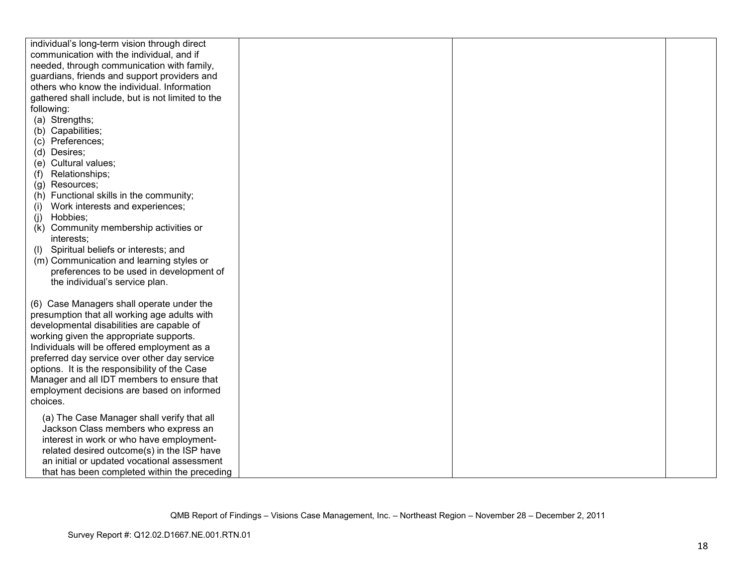| individual's long-term vision through direct      |  |  |
|---------------------------------------------------|--|--|
| communication with the individual, and if         |  |  |
| needed, through communication with family,        |  |  |
| guardians, friends and support providers and      |  |  |
| others who know the individual. Information       |  |  |
| gathered shall include, but is not limited to the |  |  |
| following:                                        |  |  |
| (a) Strengths;                                    |  |  |
| (b) Capabilities;                                 |  |  |
| (c) Preferences;                                  |  |  |
| (d) Desires;                                      |  |  |
| (e) Cultural values;                              |  |  |
| Relationships;<br>(f)                             |  |  |
| (g) Resources;                                    |  |  |
| (h) Functional skills in the community;           |  |  |
| Work interests and experiences;<br>(i)            |  |  |
| Hobbies;<br>(i)                                   |  |  |
| Community membership activities or<br>(k)         |  |  |
| interests;                                        |  |  |
| Spiritual beliefs or interests; and<br>(1)        |  |  |
| (m) Communication and learning styles or          |  |  |
| preferences to be used in development of          |  |  |
| the individual's service plan.                    |  |  |
|                                                   |  |  |
| (6) Case Managers shall operate under the         |  |  |
| presumption that all working age adults with      |  |  |
| developmental disabilities are capable of         |  |  |
| working given the appropriate supports.           |  |  |
| Individuals will be offered employment as a       |  |  |
| preferred day service over other day service      |  |  |
| options. It is the responsibility of the Case     |  |  |
| Manager and all IDT members to ensure that        |  |  |
| employment decisions are based on informed        |  |  |
| choices.                                          |  |  |
| (a) The Case Manager shall verify that all        |  |  |
| Jackson Class members who express an              |  |  |
| interest in work or who have employment-          |  |  |
| related desired outcome(s) in the ISP have        |  |  |
| an initial or updated vocational assessment       |  |  |
|                                                   |  |  |
| that has been completed within the preceding      |  |  |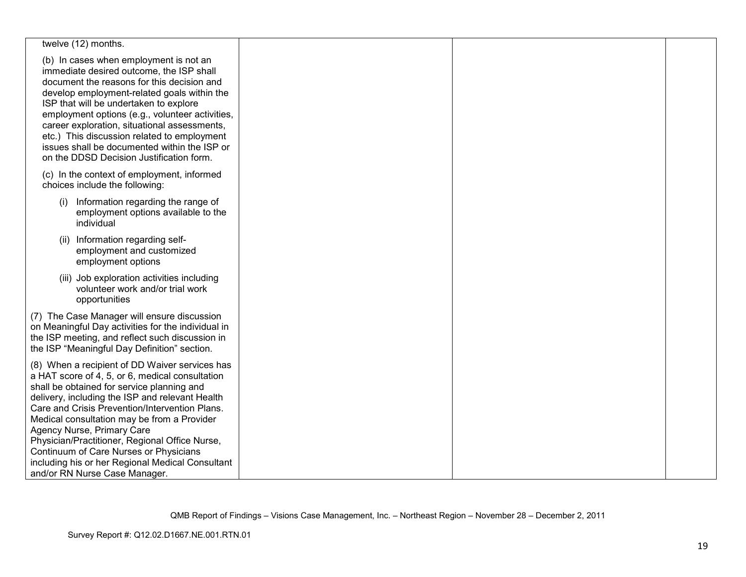| twelve (12) months.                                                                                                                                                                                                                                                                                                                                                                                                                                                                                                |  |  |
|--------------------------------------------------------------------------------------------------------------------------------------------------------------------------------------------------------------------------------------------------------------------------------------------------------------------------------------------------------------------------------------------------------------------------------------------------------------------------------------------------------------------|--|--|
| (b) In cases when employment is not an<br>immediate desired outcome, the ISP shall<br>document the reasons for this decision and<br>develop employment-related goals within the<br>ISP that will be undertaken to explore<br>employment options (e.g., volunteer activities,<br>career exploration, situational assessments,<br>etc.) This discussion related to employment<br>issues shall be documented within the ISP or<br>on the DDSD Decision Justification form.                                            |  |  |
| (c) In the context of employment, informed<br>choices include the following:                                                                                                                                                                                                                                                                                                                                                                                                                                       |  |  |
| Information regarding the range of<br>(i)<br>employment options available to the<br>individual                                                                                                                                                                                                                                                                                                                                                                                                                     |  |  |
| (ii) Information regarding self-<br>employment and customized<br>employment options                                                                                                                                                                                                                                                                                                                                                                                                                                |  |  |
| (iii) Job exploration activities including<br>volunteer work and/or trial work<br>opportunities                                                                                                                                                                                                                                                                                                                                                                                                                    |  |  |
| (7) The Case Manager will ensure discussion<br>on Meaningful Day activities for the individual in<br>the ISP meeting, and reflect such discussion in<br>the ISP "Meaningful Day Definition" section.                                                                                                                                                                                                                                                                                                               |  |  |
| (8) When a recipient of DD Waiver services has<br>a HAT score of 4, 5, or 6, medical consultation<br>shall be obtained for service planning and<br>delivery, including the ISP and relevant Health<br>Care and Crisis Prevention/Intervention Plans.<br>Medical consultation may be from a Provider<br>Agency Nurse, Primary Care<br>Physician/Practitioner, Regional Office Nurse,<br>Continuum of Care Nurses or Physicians<br>including his or her Regional Medical Consultant<br>and/or RN Nurse Case Manager. |  |  |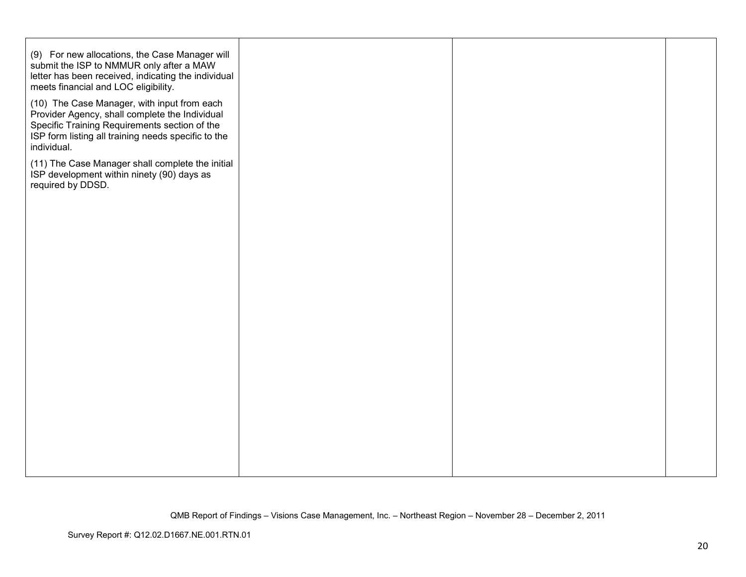| (9) For new allocations, the Case Manager will<br>submit the ISP to NMMUR only after a MAW<br>letter has been received, indicating the individual<br>meets financial and LOC eligibility.<br>(10) The Case Manager, with input from each<br>Provider Agency, shall complete the Individual<br>Specific Training Requirements section of the<br>ISP form listing all training needs specific to the |  |  |
|----------------------------------------------------------------------------------------------------------------------------------------------------------------------------------------------------------------------------------------------------------------------------------------------------------------------------------------------------------------------------------------------------|--|--|
| individual.<br>(11) The Case Manager shall complete the initial<br>ISP development within ninety (90) days as<br>required by DDSD.                                                                                                                                                                                                                                                                 |  |  |
|                                                                                                                                                                                                                                                                                                                                                                                                    |  |  |
|                                                                                                                                                                                                                                                                                                                                                                                                    |  |  |
|                                                                                                                                                                                                                                                                                                                                                                                                    |  |  |
|                                                                                                                                                                                                                                                                                                                                                                                                    |  |  |
|                                                                                                                                                                                                                                                                                                                                                                                                    |  |  |
|                                                                                                                                                                                                                                                                                                                                                                                                    |  |  |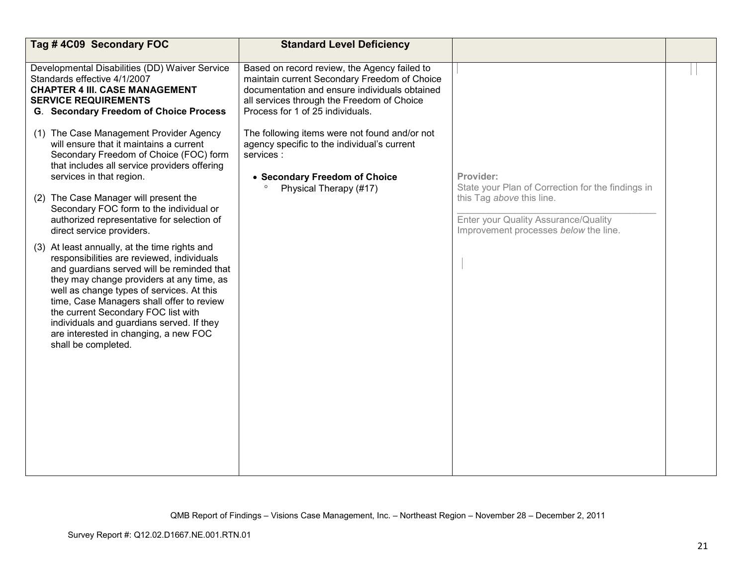| Tag #4C09 Secondary FOC                                                                                                                                                                                                                                                                                                                                                                                                              | <b>Standard Level Deficiency</b>                                                                                                                                                                                                |                                                                                                            |  |
|--------------------------------------------------------------------------------------------------------------------------------------------------------------------------------------------------------------------------------------------------------------------------------------------------------------------------------------------------------------------------------------------------------------------------------------|---------------------------------------------------------------------------------------------------------------------------------------------------------------------------------------------------------------------------------|------------------------------------------------------------------------------------------------------------|--|
| Developmental Disabilities (DD) Waiver Service<br>Standards effective 4/1/2007<br><b>CHAPTER 4 III. CASE MANAGEMENT</b><br><b>SERVICE REQUIREMENTS</b><br><b>G. Secondary Freedom of Choice Process</b>                                                                                                                                                                                                                              | Based on record review, the Agency failed to<br>maintain current Secondary Freedom of Choice<br>documentation and ensure individuals obtained<br>all services through the Freedom of Choice<br>Process for 1 of 25 individuals. |                                                                                                            |  |
| (1) The Case Management Provider Agency<br>will ensure that it maintains a current<br>Secondary Freedom of Choice (FOC) form<br>that includes all service providers offering<br>services in that region.                                                                                                                                                                                                                             | The following items were not found and/or not<br>agency specific to the individual's current<br>services:<br>• Secondary Freedom of Choice                                                                                      | Provider:<br>State your Plan of Correction for the findings in                                             |  |
| (2) The Case Manager will present the<br>Secondary FOC form to the individual or<br>authorized representative for selection of<br>direct service providers.                                                                                                                                                                                                                                                                          | Physical Therapy (#17)                                                                                                                                                                                                          | this Tag above this line.<br>Enter your Quality Assurance/Quality<br>Improvement processes below the line. |  |
| (3) At least annually, at the time rights and<br>responsibilities are reviewed, individuals<br>and guardians served will be reminded that<br>they may change providers at any time, as<br>well as change types of services. At this<br>time, Case Managers shall offer to review<br>the current Secondary FOC list with<br>individuals and guardians served. If they<br>are interested in changing, a new FOC<br>shall be completed. |                                                                                                                                                                                                                                 |                                                                                                            |  |
|                                                                                                                                                                                                                                                                                                                                                                                                                                      |                                                                                                                                                                                                                                 |                                                                                                            |  |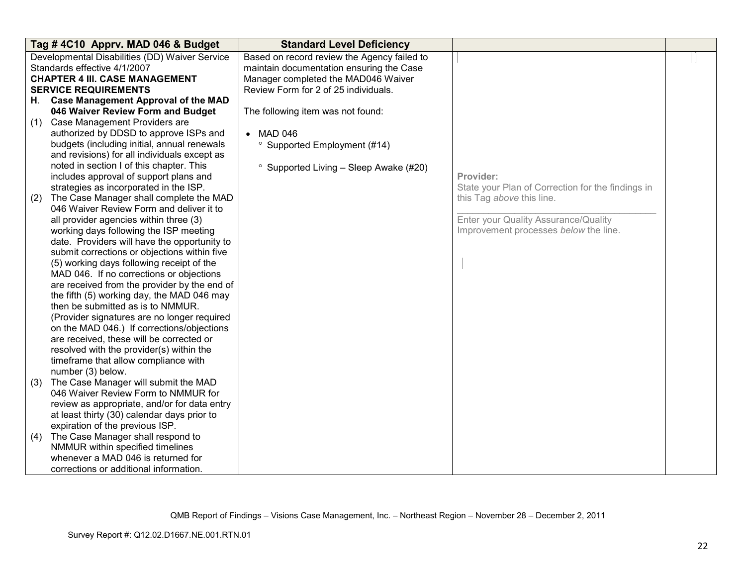|     | Tag #4C10 Apprv. MAD 046 & Budget                                                                                                                      | <b>Standard Level Deficiency</b>                                                                                                                                       |                                                   |  |
|-----|--------------------------------------------------------------------------------------------------------------------------------------------------------|------------------------------------------------------------------------------------------------------------------------------------------------------------------------|---------------------------------------------------|--|
|     | Developmental Disabilities (DD) Waiver Service<br>Standards effective 4/1/2007<br><b>CHAPTER 4 III. CASE MANAGEMENT</b><br><b>SERVICE REQUIREMENTS</b> | Based on record review the Agency failed to<br>maintain documentation ensuring the Case<br>Manager completed the MAD046 Waiver<br>Review Form for 2 of 25 individuals. |                                                   |  |
| H.  | <b>Case Management Approval of the MAD</b>                                                                                                             |                                                                                                                                                                        |                                                   |  |
|     | 046 Waiver Review Form and Budget                                                                                                                      | The following item was not found:                                                                                                                                      |                                                   |  |
| (1) | Case Management Providers are                                                                                                                          |                                                                                                                                                                        |                                                   |  |
|     | authorized by DDSD to approve ISPs and                                                                                                                 | • MAD 046                                                                                                                                                              |                                                   |  |
|     | budgets (including initial, annual renewals                                                                                                            | <sup>o</sup> Supported Employment (#14)                                                                                                                                |                                                   |  |
|     | and revisions) for all individuals except as                                                                                                           |                                                                                                                                                                        |                                                   |  |
|     | noted in section I of this chapter. This                                                                                                               | $\degree$ Supported Living – Sleep Awake (#20)                                                                                                                         |                                                   |  |
|     | includes approval of support plans and                                                                                                                 |                                                                                                                                                                        | Provider:                                         |  |
|     | strategies as incorporated in the ISP.                                                                                                                 |                                                                                                                                                                        | State your Plan of Correction for the findings in |  |
| (2) | The Case Manager shall complete the MAD                                                                                                                |                                                                                                                                                                        | this Tag above this line.                         |  |
|     | 046 Waiver Review Form and deliver it to                                                                                                               |                                                                                                                                                                        |                                                   |  |
|     | all provider agencies within three (3)                                                                                                                 |                                                                                                                                                                        | Enter your Quality Assurance/Quality              |  |
|     | working days following the ISP meeting                                                                                                                 |                                                                                                                                                                        | Improvement processes below the line.             |  |
|     | date. Providers will have the opportunity to                                                                                                           |                                                                                                                                                                        |                                                   |  |
|     | submit corrections or objections within five                                                                                                           |                                                                                                                                                                        |                                                   |  |
|     | (5) working days following receipt of the                                                                                                              |                                                                                                                                                                        |                                                   |  |
|     | MAD 046. If no corrections or objections                                                                                                               |                                                                                                                                                                        |                                                   |  |
|     | are received from the provider by the end of                                                                                                           |                                                                                                                                                                        |                                                   |  |
|     | the fifth (5) working day, the MAD 046 may                                                                                                             |                                                                                                                                                                        |                                                   |  |
|     | then be submitted as is to NMMUR.                                                                                                                      |                                                                                                                                                                        |                                                   |  |
|     | (Provider signatures are no longer required                                                                                                            |                                                                                                                                                                        |                                                   |  |
|     | on the MAD 046.) If corrections/objections<br>are received, these will be corrected or                                                                 |                                                                                                                                                                        |                                                   |  |
|     | resolved with the provider(s) within the                                                                                                               |                                                                                                                                                                        |                                                   |  |
|     | timeframe that allow compliance with                                                                                                                   |                                                                                                                                                                        |                                                   |  |
|     | number (3) below.                                                                                                                                      |                                                                                                                                                                        |                                                   |  |
| (3) | The Case Manager will submit the MAD                                                                                                                   |                                                                                                                                                                        |                                                   |  |
|     | 046 Waiver Review Form to NMMUR for                                                                                                                    |                                                                                                                                                                        |                                                   |  |
|     | review as appropriate, and/or for data entry                                                                                                           |                                                                                                                                                                        |                                                   |  |
|     | at least thirty (30) calendar days prior to                                                                                                            |                                                                                                                                                                        |                                                   |  |
|     | expiration of the previous ISP.                                                                                                                        |                                                                                                                                                                        |                                                   |  |
| (4) | The Case Manager shall respond to                                                                                                                      |                                                                                                                                                                        |                                                   |  |
|     | NMMUR within specified timelines                                                                                                                       |                                                                                                                                                                        |                                                   |  |
|     | whenever a MAD 046 is returned for                                                                                                                     |                                                                                                                                                                        |                                                   |  |
|     | corrections or additional information.                                                                                                                 |                                                                                                                                                                        |                                                   |  |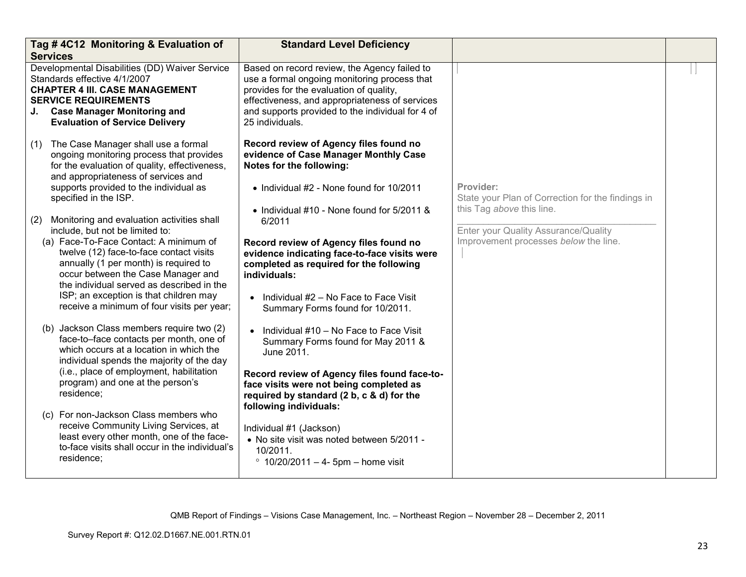| <b>Services</b> | Tag #4C12 Monitoring & Evaluation of                                                                                                                                                                                                                                                                                                                                                   | <b>Standard Level Deficiency</b>                                                                                                                                                                                                                                 |                                                                                             |  |
|-----------------|----------------------------------------------------------------------------------------------------------------------------------------------------------------------------------------------------------------------------------------------------------------------------------------------------------------------------------------------------------------------------------------|------------------------------------------------------------------------------------------------------------------------------------------------------------------------------------------------------------------------------------------------------------------|---------------------------------------------------------------------------------------------|--|
|                 | Developmental Disabilities (DD) Waiver Service<br>Standards effective 4/1/2007<br><b>CHAPTER 4 III. CASE MANAGEMENT</b><br><b>SERVICE REQUIREMENTS</b><br>J. Case Manager Monitoring and<br><b>Evaluation of Service Delivery</b>                                                                                                                                                      | Based on record review, the Agency failed to<br>use a formal ongoing monitoring process that<br>provides for the evaluation of quality,<br>effectiveness, and appropriateness of services<br>and supports provided to the individual for 4 of<br>25 individuals. |                                                                                             |  |
|                 | (1) The Case Manager shall use a formal<br>ongoing monitoring process that provides<br>for the evaluation of quality, effectiveness,<br>and appropriateness of services and<br>supports provided to the individual as<br>specified in the ISP.                                                                                                                                         | Record review of Agency files found no<br>evidence of Case Manager Monthly Case<br>Notes for the following:<br>• Individual #2 - None found for 10/2011<br>• Individual #10 - None found for 5/2011 &                                                            | Provider:<br>State your Plan of Correction for the findings in<br>this Tag above this line. |  |
| (2)             | Monitoring and evaluation activities shall<br>include, but not be limited to:<br>(a) Face-To-Face Contact: A minimum of<br>twelve (12) face-to-face contact visits<br>annually (1 per month) is required to<br>occur between the Case Manager and<br>the individual served as described in the<br>ISP; an exception is that children may<br>receive a minimum of four visits per year; | 6/2011<br>Record review of Agency files found no<br>evidence indicating face-to-face visits were<br>completed as required for the following<br>individuals:<br>Individual #2 - No Face to Face Visit<br>Summary Forms found for 10/2011.                         | Enter your Quality Assurance/Quality<br>Improvement processes below the line.               |  |
|                 | (b) Jackson Class members require two (2)<br>face-to-face contacts per month, one of<br>which occurs at a location in which the<br>individual spends the majority of the day<br>(i.e., place of employment, habilitation<br>program) and one at the person's<br>residence;                                                                                                             | Individual #10 - No Face to Face Visit<br>$\bullet$<br>Summary Forms found for May 2011 &<br>June 2011.<br>Record review of Agency files found face-to-<br>face visits were not being completed as<br>required by standard (2 b, c & d) for the                  |                                                                                             |  |
|                 | (c) For non-Jackson Class members who<br>receive Community Living Services, at<br>least every other month, one of the face-<br>to-face visits shall occur in the individual's<br>residence;                                                                                                                                                                                            | following individuals:<br>Individual #1 (Jackson)<br>• No site visit was noted between 5/2011 -<br>10/2011.<br>$\degree$ 10/20/2011 - 4- 5pm - home visit                                                                                                        |                                                                                             |  |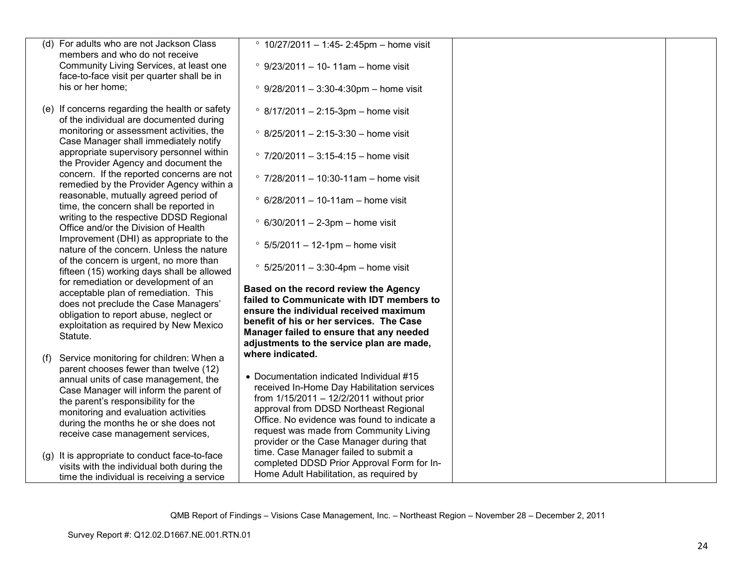|     | (d) For adults who are not Jackson Class                                              | $\degree$ 10/27/2011 - 1:45- 2:45pm - home visit                                      |  |
|-----|---------------------------------------------------------------------------------------|---------------------------------------------------------------------------------------|--|
|     | members and who do not receive                                                        |                                                                                       |  |
|     | Community Living Services, at least one<br>face-to-face visit per quarter shall be in | $\degree$ 9/23/2011 - 10- 11am - home visit                                           |  |
|     | his or her home:                                                                      | $°$ 9/28/2011 - 3:30-4:30pm - home visit                                              |  |
|     |                                                                                       |                                                                                       |  |
|     | (e) If concerns regarding the health or safety                                        | $\degree$ 8/17/2011 - 2:15-3pm - home visit                                           |  |
|     | of the individual are documented during<br>monitoring or assessment activities, the   |                                                                                       |  |
|     | Case Manager shall immediately notify                                                 | $\degree$ 8/25/2011 - 2:15-3:30 - home visit                                          |  |
|     | appropriate supervisory personnel within                                              | $\degree$ 7/20/2011 - 3:15-4:15 - home visit                                          |  |
|     | the Provider Agency and document the                                                  |                                                                                       |  |
|     | concern. If the reported concerns are not<br>remedied by the Provider Agency within a | $\degree$ 7/28/2011 - 10:30-11am - home visit                                         |  |
|     | reasonable, mutually agreed period of                                                 |                                                                                       |  |
|     | time, the concern shall be reported in                                                | $\degree$ 6/28/2011 - 10-11am - home visit                                            |  |
|     | writing to the respective DDSD Regional                                               | $\degree$ 6/30/2011 - 2-3pm - home visit                                              |  |
|     | Office and/or the Division of Health<br>Improvement (DHI) as appropriate to the       |                                                                                       |  |
|     | nature of the concern. Unless the nature                                              | $\degree$ 5/5/2011 - 12-1pm - home visit                                              |  |
|     | of the concern is urgent, no more than                                                |                                                                                       |  |
|     | fifteen (15) working days shall be allowed                                            | $\degree$ 5/25/2011 - 3:30-4pm - home visit                                           |  |
|     | for remediation or development of an<br>acceptable plan of remediation. This          | Based on the record review the Agency                                                 |  |
|     | does not preclude the Case Managers'                                                  | failed to Communicate with IDT members to                                             |  |
|     | obligation to report abuse, neglect or                                                | ensure the individual received maximum                                                |  |
|     | exploitation as required by New Mexico                                                | benefit of his or her services. The Case                                              |  |
|     | Statute.                                                                              | Manager failed to ensure that any needed<br>adjustments to the service plan are made, |  |
|     |                                                                                       | where indicated.                                                                      |  |
| (f) | Service monitoring for children: When a<br>parent chooses fewer than twelve (12)      |                                                                                       |  |
|     | annual units of case management, the                                                  | • Documentation indicated Individual #15                                              |  |
|     | Case Manager will inform the parent of                                                | received In-Home Day Habilitation services                                            |  |
|     | the parent's responsibility for the                                                   | from 1/15/2011 - 12/2/2011 without prior<br>approval from DDSD Northeast Regional     |  |
|     | monitoring and evaluation activities                                                  | Office. No evidence was found to indicate a                                           |  |
|     | during the months he or she does not                                                  | request was made from Community Living                                                |  |
|     | receive case management services,                                                     | provider or the Case Manager during that                                              |  |
|     | (g) It is appropriate to conduct face-to-face                                         | time. Case Manager failed to submit a                                                 |  |
|     | visits with the individual both during the                                            | completed DDSD Prior Approval Form for In-                                            |  |
|     | time the individual is receiving a service                                            | Home Adult Habilitation, as required by                                               |  |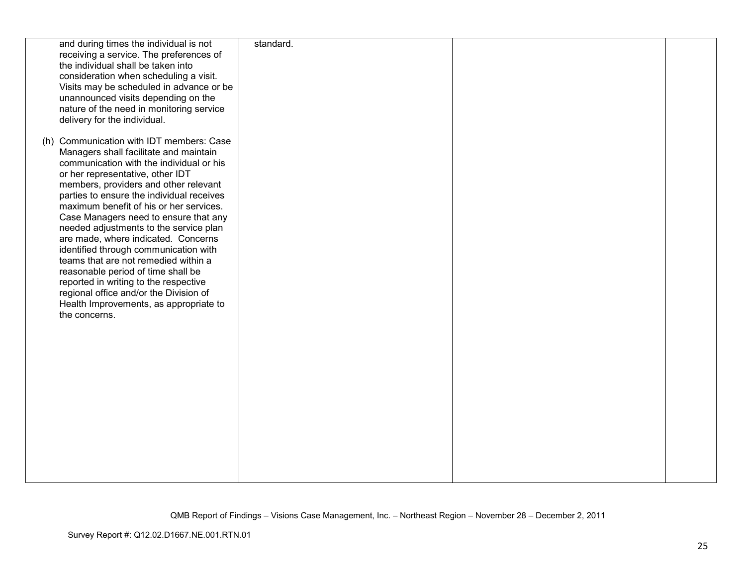| and during times the individual is not<br>receiving a service. The preferences of<br>the individual shall be taken into<br>consideration when scheduling a visit.<br>Visits may be scheduled in advance or be<br>unannounced visits depending on the<br>nature of the need in monitoring service<br>delivery for the individual.                                                                                                                                                                                                                                                                                                                                                                   | standard. |  |
|----------------------------------------------------------------------------------------------------------------------------------------------------------------------------------------------------------------------------------------------------------------------------------------------------------------------------------------------------------------------------------------------------------------------------------------------------------------------------------------------------------------------------------------------------------------------------------------------------------------------------------------------------------------------------------------------------|-----------|--|
| (h) Communication with IDT members: Case<br>Managers shall facilitate and maintain<br>communication with the individual or his<br>or her representative, other IDT<br>members, providers and other relevant<br>parties to ensure the individual receives<br>maximum benefit of his or her services.<br>Case Managers need to ensure that any<br>needed adjustments to the service plan<br>are made, where indicated. Concerns<br>identified through communication with<br>teams that are not remedied within a<br>reasonable period of time shall be<br>reported in writing to the respective<br>regional office and/or the Division of<br>Health Improvements, as appropriate to<br>the concerns. |           |  |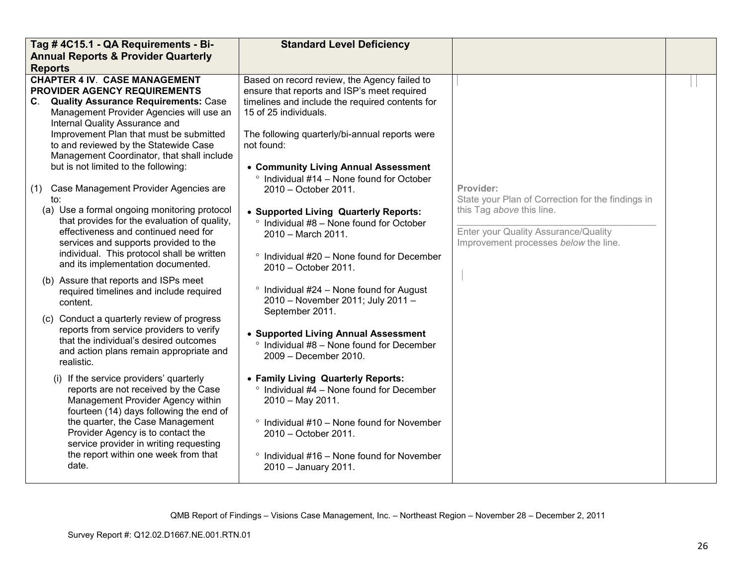| Tag # 4C15.1 - QA Requirements - Bi-                                                                                                                                                      | <b>Standard Level Deficiency</b>                                                                                                               |                                                                                                            |  |
|-------------------------------------------------------------------------------------------------------------------------------------------------------------------------------------------|------------------------------------------------------------------------------------------------------------------------------------------------|------------------------------------------------------------------------------------------------------------|--|
| <b>Annual Reports &amp; Provider Quarterly</b>                                                                                                                                            |                                                                                                                                                |                                                                                                            |  |
| <b>Reports</b>                                                                                                                                                                            |                                                                                                                                                |                                                                                                            |  |
| <b>CHAPTER 4 IV. CASE MANAGEMENT</b><br>PROVIDER AGENCY REQUIREMENTS<br>C. Quality Assurance Requirements: Case                                                                           | Based on record review, the Agency failed to<br>ensure that reports and ISP's meet required<br>timelines and include the required contents for |                                                                                                            |  |
| Management Provider Agencies will use an<br>Internal Quality Assurance and<br>Improvement Plan that must be submitted                                                                     | 15 of 25 individuals.<br>The following quarterly/bi-annual reports were                                                                        |                                                                                                            |  |
| to and reviewed by the Statewide Case<br>Management Coordinator, that shall include<br>but is not limited to the following:                                                               | not found:                                                                                                                                     |                                                                                                            |  |
| (1) Case Management Provider Agencies are<br>to:                                                                                                                                          | • Community Living Annual Assessment<br>$\degree$ Individual #14 - None found for October<br>2010 - October 2011.                              | Provider:<br>State your Plan of Correction for the findings in                                             |  |
| (a) Use a formal ongoing monitoring protocol<br>that provides for the evaluation of quality,<br>effectiveness and continued need for<br>services and supports provided to the             | • Supported Living Quarterly Reports:<br>$\degree$ Individual #8 - None found for October<br>2010 - March 2011.                                | this Tag above this line.<br>Enter your Quality Assurance/Quality<br>Improvement processes below the line. |  |
| individual. This protocol shall be written<br>and its implementation documented.                                                                                                          | <sup>o</sup> Individual #20 - None found for December<br>2010 - October 2011.                                                                  |                                                                                                            |  |
| (b) Assure that reports and ISPs meet<br>required timelines and include required<br>content.                                                                                              | $\degree$ Individual #24 - None found for August<br>2010 - November 2011; July 2011 -<br>September 2011.                                       |                                                                                                            |  |
| (c) Conduct a quarterly review of progress<br>reports from service providers to verify<br>that the individual's desired outcomes<br>and action plans remain appropriate and<br>realistic. | • Supported Living Annual Assessment<br>$\degree$ Individual #8 – None found for December<br>2009 - December 2010.                             |                                                                                                            |  |
| (i) If the service providers' quarterly<br>reports are not received by the Case<br>Management Provider Agency within<br>fourteen (14) days following the end of                           | • Family Living Quarterly Reports:<br>$\degree$ Individual #4 - None found for December<br>2010 - May 2011.                                    |                                                                                                            |  |
| the quarter, the Case Management<br>Provider Agency is to contact the<br>service provider in writing requesting                                                                           | $\degree$ Individual #10 - None found for November<br>2010 - October 2011.                                                                     |                                                                                                            |  |
| the report within one week from that<br>date.                                                                                                                                             | $\degree$ Individual #16 - None found for November<br>2010 - January 2011.                                                                     |                                                                                                            |  |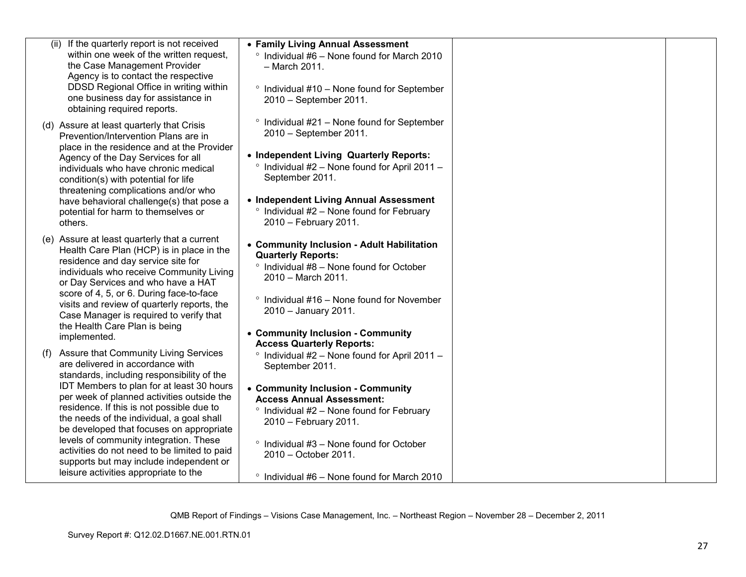| (ii) If the quarterly report is not received                                            | • Family Living Annual Assessment                                                           |  |
|-----------------------------------------------------------------------------------------|---------------------------------------------------------------------------------------------|--|
| within one week of the written request,<br>the Case Management Provider                 | ° Individual #6 - None found for March 2010<br>- March 2011.                                |  |
| Agency is to contact the respective                                                     |                                                                                             |  |
| DDSD Regional Office in writing within                                                  | <sup>o</sup> Individual #10 - None found for September                                      |  |
| one business day for assistance in<br>obtaining required reports.                       | 2010 - September 2011.                                                                      |  |
|                                                                                         | $\degree$ Individual #21 – None found for September                                         |  |
| (d) Assure at least quarterly that Crisis<br>Prevention/Intervention Plans are in       | 2010 - September 2011.                                                                      |  |
| place in the residence and at the Provider                                              |                                                                                             |  |
| Agency of the Day Services for all                                                      | • Independent Living Quarterly Reports:                                                     |  |
| individuals who have chronic medical<br>condition(s) with potential for life            | <sup>o</sup> Individual #2 - None found for April 2011 -<br>September 2011.                 |  |
| threatening complications and/or who                                                    |                                                                                             |  |
| have behavioral challenge(s) that pose a                                                | • Independent Living Annual Assessment<br>$\degree$ Individual #2 - None found for February |  |
| potential for harm to themselves or<br>others.                                          | 2010 - February 2011.                                                                       |  |
| (e) Assure at least quarterly that a current                                            |                                                                                             |  |
| Health Care Plan (HCP) is in place in the                                               | • Community Inclusion - Adult Habilitation<br><b>Quarterly Reports:</b>                     |  |
| residence and day service site for                                                      | ° Individual #8 - None found for October                                                    |  |
| individuals who receive Community Living<br>or Day Services and who have a HAT          | 2010 - March 2011.                                                                          |  |
| score of 4, 5, or 6. During face-to-face                                                | $\degree$ Individual #16 – None found for November                                          |  |
| visits and review of quarterly reports, the<br>Case Manager is required to verify that  | 2010 - January 2011.                                                                        |  |
| the Health Care Plan is being                                                           |                                                                                             |  |
| implemented.                                                                            | • Community Inclusion - Community<br><b>Access Quarterly Reports:</b>                       |  |
| (f) Assure that Community Living Services                                               | <sup>o</sup> Individual #2 - None found for April 2011 -                                    |  |
| are delivered in accordance with                                                        | September 2011.                                                                             |  |
| standards, including responsibility of the<br>IDT Members to plan for at least 30 hours | • Community Inclusion - Community                                                           |  |
| per week of planned activities outside the                                              | <b>Access Annual Assessment:</b>                                                            |  |
| residence. If this is not possible due to                                               | $\degree$ Individual #2 – None found for February                                           |  |
| the needs of the individual, a goal shall<br>be developed that focuses on appropriate   | 2010 - February 2011.                                                                       |  |
| levels of community integration. These                                                  | ° Individual #3 - None found for October                                                    |  |
| activities do not need to be limited to paid<br>supports but may include independent or | 2010 - October 2011.                                                                        |  |
| leisure activities appropriate to the                                                   |                                                                                             |  |
|                                                                                         | $\degree$ Individual #6 – None found for March 2010                                         |  |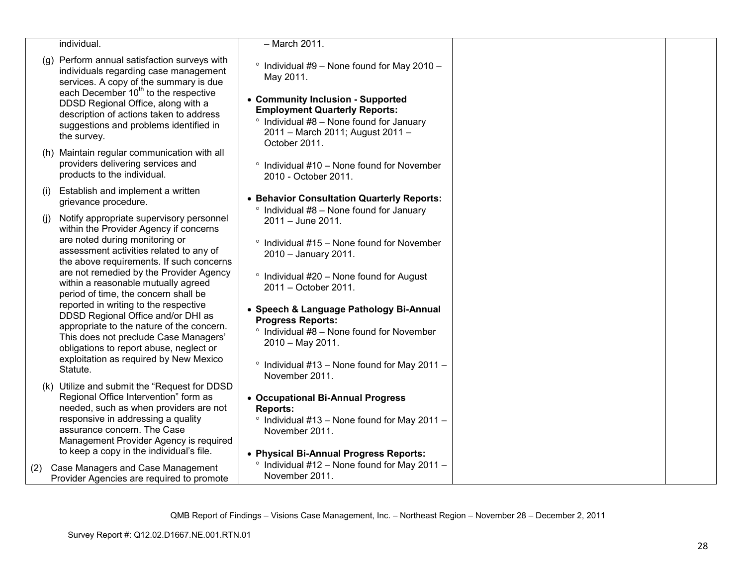|     | individual.                                                                                                                                                                                                                                                                                                                                                                                                                                                                                                                                                                                                 | - March 2011.                                                                                                                                                                                                                                                                                                                                                                                                                                               |  |
|-----|-------------------------------------------------------------------------------------------------------------------------------------------------------------------------------------------------------------------------------------------------------------------------------------------------------------------------------------------------------------------------------------------------------------------------------------------------------------------------------------------------------------------------------------------------------------------------------------------------------------|-------------------------------------------------------------------------------------------------------------------------------------------------------------------------------------------------------------------------------------------------------------------------------------------------------------------------------------------------------------------------------------------------------------------------------------------------------------|--|
|     | (g) Perform annual satisfaction surveys with<br>individuals regarding case management<br>services. A copy of the summary is due<br>each December 10 <sup>th</sup> to the respective<br>DDSD Regional Office, along with a<br>description of actions taken to address<br>suggestions and problems identified in<br>the survey.                                                                                                                                                                                                                                                                               | $\degree$ Individual #9 - None found for May 2010 -<br>May 2011.<br>• Community Inclusion - Supported<br><b>Employment Quarterly Reports:</b><br>Individual #8 - None found for January<br>$\circ$<br>2011 - March 2011; August 2011 -<br>October 2011.                                                                                                                                                                                                     |  |
|     | (h) Maintain regular communication with all<br>providers delivering services and<br>products to the individual.                                                                                                                                                                                                                                                                                                                                                                                                                                                                                             | $\degree$ Individual #10 – None found for November<br>2010 - October 2011.                                                                                                                                                                                                                                                                                                                                                                                  |  |
| (i) | Establish and implement a written<br>grievance procedure.                                                                                                                                                                                                                                                                                                                                                                                                                                                                                                                                                   | • Behavior Consultation Quarterly Reports:                                                                                                                                                                                                                                                                                                                                                                                                                  |  |
| (i) | Notify appropriate supervisory personnel<br>within the Provider Agency if concerns<br>are noted during monitoring or<br>assessment activities related to any of<br>the above requirements. If such concerns<br>are not remedied by the Provider Agency<br>within a reasonable mutually agreed<br>period of time, the concern shall be<br>reported in writing to the respective<br>DDSD Regional Office and/or DHI as<br>appropriate to the nature of the concern.<br>This does not preclude Case Managers'<br>obligations to report abuse, neglect or<br>exploitation as required by New Mexico<br>Statute. | $\degree$ Individual #8 - None found for January<br>2011 - June 2011.<br>$\circ$<br>Individual #15 - None found for November<br>2010 - January 2011.<br>Individual #20 - None found for August<br>$\circ$<br>2011 - October 2011.<br>• Speech & Language Pathology Bi-Annual<br><b>Progress Reports:</b><br>$\degree$ Individual #8 - None found for November<br>2010 - May 2011.<br>$\degree$ Individual #13 - None found for May 2011 -<br>November 2011. |  |
|     | (k) Utilize and submit the "Request for DDSD<br>Regional Office Intervention" form as<br>needed, such as when providers are not<br>responsive in addressing a quality<br>assurance concern. The Case<br>Management Provider Agency is required<br>to keep a copy in the individual's file.                                                                                                                                                                                                                                                                                                                  | • Occupational Bi-Annual Progress<br><b>Reports:</b><br>Individual #13 - None found for May 2011 -<br>$\circ$<br>November 2011.<br>• Physical Bi-Annual Progress Reports:<br>Individual #12 - None found for May 2011 -<br>$\circ$                                                                                                                                                                                                                          |  |
| (2) | Case Managers and Case Management<br>Provider Agencies are required to promote                                                                                                                                                                                                                                                                                                                                                                                                                                                                                                                              | November 2011.                                                                                                                                                                                                                                                                                                                                                                                                                                              |  |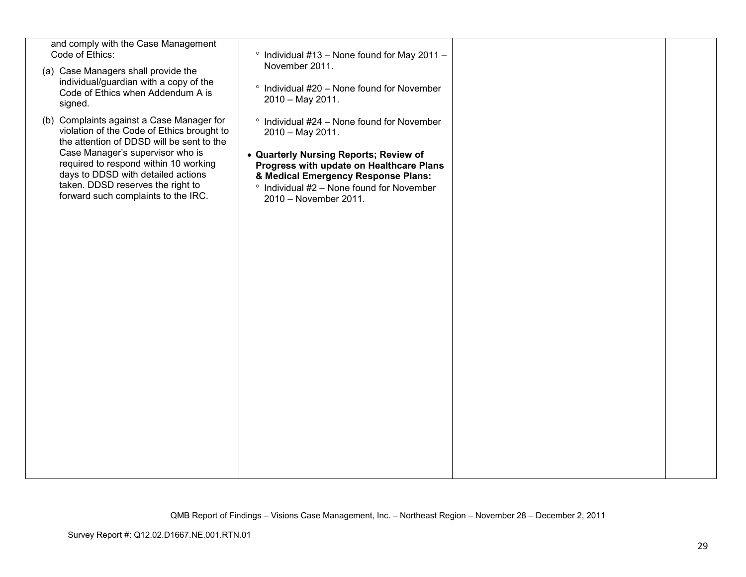| and comply with the Case Management<br>Code of Ethics:<br>(a) Case Managers shall provide the<br>individual/guardian with a copy of the<br>Code of Ethics when Addendum A is<br>signed.                                                                                                                                             | $\degree$ Individual #13 - None found for May 2011 -<br>November 2011.<br>° Individual #20 - None found for November<br>2010 - May 2011.                                                                                                                                          |  |
|-------------------------------------------------------------------------------------------------------------------------------------------------------------------------------------------------------------------------------------------------------------------------------------------------------------------------------------|-----------------------------------------------------------------------------------------------------------------------------------------------------------------------------------------------------------------------------------------------------------------------------------|--|
| (b) Complaints against a Case Manager for<br>violation of the Code of Ethics brought to<br>the attention of DDSD will be sent to the<br>Case Manager's supervisor who is<br>required to respond within 10 working<br>days to DDSD with detailed actions<br>taken. DDSD reserves the right to<br>forward such complaints to the IRC. | $\degree$ Individual #24 – None found for November<br>2010 - May 2011.<br>• Quarterly Nursing Reports; Review of<br>Progress with update on Healthcare Plans<br>& Medical Emergency Response Plans:<br>$\degree$ Individual #2 – None found for November<br>2010 - November 2011. |  |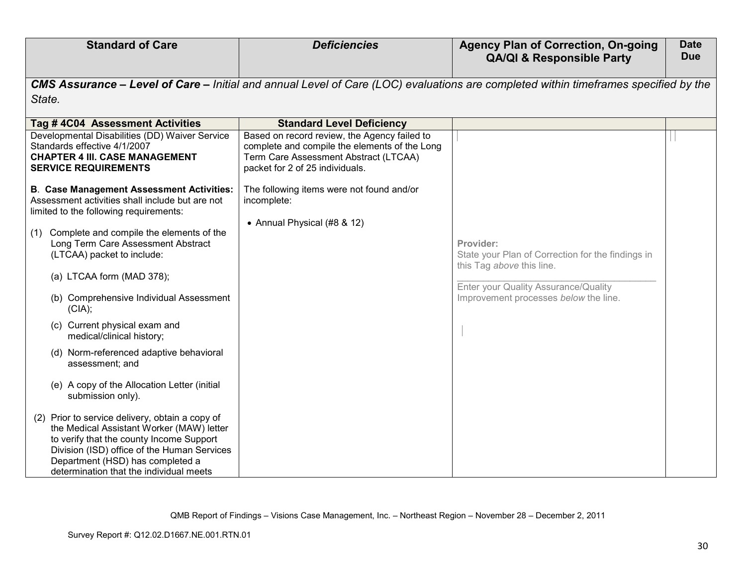| <b>Standard of Care</b>                                                                                                                                                                                                                                                | <b>Deficiencies</b>                                                                                                                                                       | <b>Agency Plan of Correction, On-going</b><br><b>QA/QI &amp; Responsible Party</b>                                                  | <b>Date</b><br><b>Due</b> |
|------------------------------------------------------------------------------------------------------------------------------------------------------------------------------------------------------------------------------------------------------------------------|---------------------------------------------------------------------------------------------------------------------------------------------------------------------------|-------------------------------------------------------------------------------------------------------------------------------------|---------------------------|
| State.                                                                                                                                                                                                                                                                 |                                                                                                                                                                           | CMS Assurance - Level of Care - Initial and annual Level of Care (LOC) evaluations are completed within timeframes specified by the |                           |
| Tag #4C04 Assessment Activities                                                                                                                                                                                                                                        | <b>Standard Level Deficiency</b>                                                                                                                                          |                                                                                                                                     |                           |
| Developmental Disabilities (DD) Waiver Service<br>Standards effective 4/1/2007<br><b>CHAPTER 4 III. CASE MANAGEMENT</b><br><b>SERVICE REQUIREMENTS</b>                                                                                                                 | Based on record review, the Agency failed to<br>complete and compile the elements of the Long<br>Term Care Assessment Abstract (LTCAA)<br>packet for 2 of 25 individuals. |                                                                                                                                     |                           |
| <b>B. Case Management Assessment Activities:</b><br>Assessment activities shall include but are not<br>limited to the following requirements:                                                                                                                          | The following items were not found and/or<br>incomplete:<br>• Annual Physical (#8 & 12)                                                                                   |                                                                                                                                     |                           |
| (1) Complete and compile the elements of the<br>Long Term Care Assessment Abstract<br>(LTCAA) packet to include:                                                                                                                                                       |                                                                                                                                                                           | Provider:<br>State your Plan of Correction for the findings in<br>this Tag above this line.                                         |                           |
| (a) LTCAA form (MAD 378);                                                                                                                                                                                                                                              |                                                                                                                                                                           | Enter your Quality Assurance/Quality                                                                                                |                           |
| (b) Comprehensive Individual Assessment<br>(CIA);                                                                                                                                                                                                                      |                                                                                                                                                                           | Improvement processes below the line.                                                                                               |                           |
| (c) Current physical exam and<br>medical/clinical history;                                                                                                                                                                                                             |                                                                                                                                                                           |                                                                                                                                     |                           |
| (d) Norm-referenced adaptive behavioral<br>assessment: and                                                                                                                                                                                                             |                                                                                                                                                                           |                                                                                                                                     |                           |
| (e) A copy of the Allocation Letter (initial<br>submission only).                                                                                                                                                                                                      |                                                                                                                                                                           |                                                                                                                                     |                           |
| (2) Prior to service delivery, obtain a copy of<br>the Medical Assistant Worker (MAW) letter<br>to verify that the county Income Support<br>Division (ISD) office of the Human Services<br>Department (HSD) has completed a<br>determination that the individual meets |                                                                                                                                                                           |                                                                                                                                     |                           |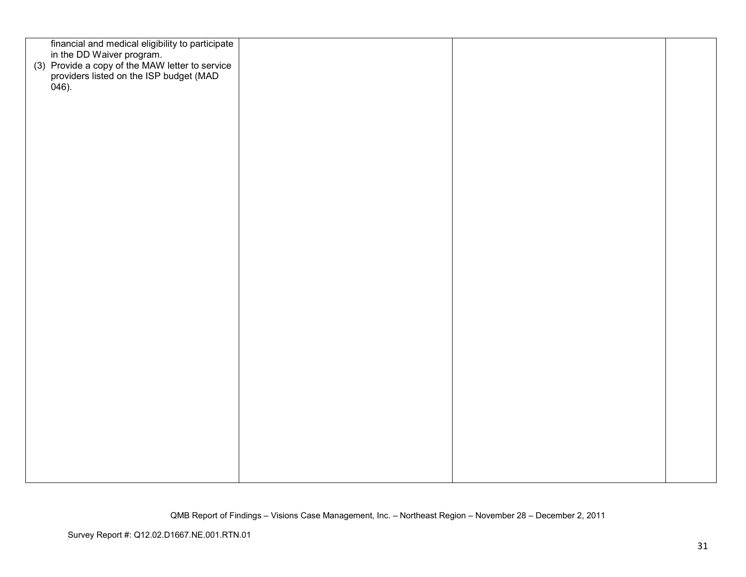| financial and medical eligibility to participate                                                                        |  |  |
|-------------------------------------------------------------------------------------------------------------------------|--|--|
| in the DD Waiver program.<br>(3) Provide a copy of the MAW letter to service<br>providers listed on the ISP budget (MAD |  |  |
|                                                                                                                         |  |  |
|                                                                                                                         |  |  |
| $046$ ).                                                                                                                |  |  |
|                                                                                                                         |  |  |
|                                                                                                                         |  |  |
|                                                                                                                         |  |  |
|                                                                                                                         |  |  |
|                                                                                                                         |  |  |
|                                                                                                                         |  |  |
|                                                                                                                         |  |  |
|                                                                                                                         |  |  |
|                                                                                                                         |  |  |
|                                                                                                                         |  |  |
|                                                                                                                         |  |  |
|                                                                                                                         |  |  |
|                                                                                                                         |  |  |
|                                                                                                                         |  |  |
|                                                                                                                         |  |  |
|                                                                                                                         |  |  |
|                                                                                                                         |  |  |
|                                                                                                                         |  |  |
|                                                                                                                         |  |  |
|                                                                                                                         |  |  |
|                                                                                                                         |  |  |
|                                                                                                                         |  |  |
|                                                                                                                         |  |  |
|                                                                                                                         |  |  |
|                                                                                                                         |  |  |
|                                                                                                                         |  |  |
|                                                                                                                         |  |  |
|                                                                                                                         |  |  |
|                                                                                                                         |  |  |
|                                                                                                                         |  |  |
|                                                                                                                         |  |  |
|                                                                                                                         |  |  |
|                                                                                                                         |  |  |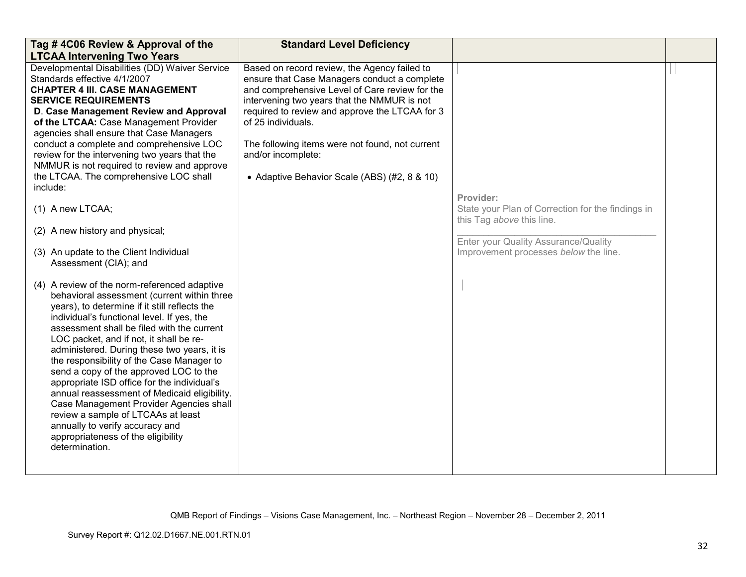| Tag #4C06 Review & Approval of the<br><b>LTCAA Intervening Two Years</b>                                                                                                                                                                                                                                                                                                                                                                                                                                                                                                                                                                                                                             | <b>Standard Level Deficiency</b>                                                                                                                                                                                                                                                                                                                                                               |                                                                                                                                                                              |  |
|------------------------------------------------------------------------------------------------------------------------------------------------------------------------------------------------------------------------------------------------------------------------------------------------------------------------------------------------------------------------------------------------------------------------------------------------------------------------------------------------------------------------------------------------------------------------------------------------------------------------------------------------------------------------------------------------------|------------------------------------------------------------------------------------------------------------------------------------------------------------------------------------------------------------------------------------------------------------------------------------------------------------------------------------------------------------------------------------------------|------------------------------------------------------------------------------------------------------------------------------------------------------------------------------|--|
| Developmental Disabilities (DD) Waiver Service<br>Standards effective 4/1/2007<br><b>CHAPTER 4 III. CASE MANAGEMENT</b><br><b>SERVICE REQUIREMENTS</b><br>D. Case Management Review and Approval<br>of the LTCAA: Case Management Provider<br>agencies shall ensure that Case Managers<br>conduct a complete and comprehensive LOC<br>review for the intervening two years that the<br>NMMUR is not required to review and approve<br>the LTCAA. The comprehensive LOC shall<br>include:<br>(1) A new LTCAA;<br>(2) A new history and physical;<br>(3) An update to the Client Individual<br>Assessment (CIA); and                                                                                   | Based on record review, the Agency failed to<br>ensure that Case Managers conduct a complete<br>and comprehensive Level of Care review for the<br>intervening two years that the NMMUR is not<br>required to review and approve the LTCAA for 3<br>of 25 individuals.<br>The following items were not found, not current<br>and/or incomplete:<br>• Adaptive Behavior Scale (ABS) (#2, 8 & 10) | Provider:<br>State your Plan of Correction for the findings in<br>this Tag above this line.<br>Enter your Quality Assurance/Quality<br>Improvement processes below the line. |  |
| (4) A review of the norm-referenced adaptive<br>behavioral assessment (current within three<br>years), to determine if it still reflects the<br>individual's functional level. If yes, the<br>assessment shall be filed with the current<br>LOC packet, and if not, it shall be re-<br>administered. During these two years, it is<br>the responsibility of the Case Manager to<br>send a copy of the approved LOC to the<br>appropriate ISD office for the individual's<br>annual reassessment of Medicaid eligibility.<br>Case Management Provider Agencies shall<br>review a sample of LTCAAs at least<br>annually to verify accuracy and<br>appropriateness of the eligibility<br>determination. |                                                                                                                                                                                                                                                                                                                                                                                                |                                                                                                                                                                              |  |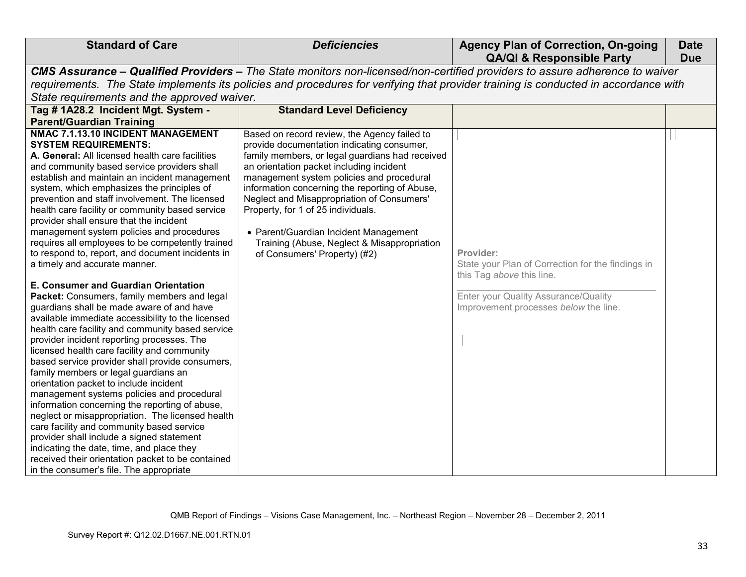| <b>Standard of Care</b>                                                                                                                                                                                                                                                                                                                                                                                                                                                                                                                                                                                                                                                                                                                                                                                                                                                                                                                                                                                                                                                                                                                                                                                                                                                                                                                                                                                                                                                            | <b>Deficiencies</b>                                                                                                                                                                                                                                                                                                                                                                                                                                                                                  | <b>Agency Plan of Correction, On-going</b><br><b>QA/QI &amp; Responsible Party</b>                                                                                           | <b>Date</b><br><b>Due</b> |
|------------------------------------------------------------------------------------------------------------------------------------------------------------------------------------------------------------------------------------------------------------------------------------------------------------------------------------------------------------------------------------------------------------------------------------------------------------------------------------------------------------------------------------------------------------------------------------------------------------------------------------------------------------------------------------------------------------------------------------------------------------------------------------------------------------------------------------------------------------------------------------------------------------------------------------------------------------------------------------------------------------------------------------------------------------------------------------------------------------------------------------------------------------------------------------------------------------------------------------------------------------------------------------------------------------------------------------------------------------------------------------------------------------------------------------------------------------------------------------|------------------------------------------------------------------------------------------------------------------------------------------------------------------------------------------------------------------------------------------------------------------------------------------------------------------------------------------------------------------------------------------------------------------------------------------------------------------------------------------------------|------------------------------------------------------------------------------------------------------------------------------------------------------------------------------|---------------------------|
| State requirements and the approved waiver.                                                                                                                                                                                                                                                                                                                                                                                                                                                                                                                                                                                                                                                                                                                                                                                                                                                                                                                                                                                                                                                                                                                                                                                                                                                                                                                                                                                                                                        | CMS Assurance - Qualified Providers - The State monitors non-licensed/non-certified providers to assure adherence to waiver<br>requirements. The State implements its policies and procedures for verifying that provider training is conducted in accordance with                                                                                                                                                                                                                                   |                                                                                                                                                                              |                           |
| Tag # 1A28.2 Incident Mgt. System -<br><b>Parent/Guardian Training</b>                                                                                                                                                                                                                                                                                                                                                                                                                                                                                                                                                                                                                                                                                                                                                                                                                                                                                                                                                                                                                                                                                                                                                                                                                                                                                                                                                                                                             | <b>Standard Level Deficiency</b>                                                                                                                                                                                                                                                                                                                                                                                                                                                                     |                                                                                                                                                                              |                           |
| NMAC 7.1.13.10 INCIDENT MANAGEMENT<br><b>SYSTEM REQUIREMENTS:</b><br>A. General: All licensed health care facilities<br>and community based service providers shall<br>establish and maintain an incident management<br>system, which emphasizes the principles of<br>prevention and staff involvement. The licensed<br>health care facility or community based service<br>provider shall ensure that the incident<br>management system policies and procedures<br>requires all employees to be competently trained<br>to respond to, report, and document incidents in<br>a timely and accurate manner.<br>E. Consumer and Guardian Orientation<br>Packet: Consumers, family members and legal<br>guardians shall be made aware of and have<br>available immediate accessibility to the licensed<br>health care facility and community based service<br>provider incident reporting processes. The<br>licensed health care facility and community<br>based service provider shall provide consumers,<br>family members or legal guardians an<br>orientation packet to include incident<br>management systems policies and procedural<br>information concerning the reporting of abuse,<br>neglect or misappropriation. The licensed health<br>care facility and community based service<br>provider shall include a signed statement<br>indicating the date, time, and place they<br>received their orientation packet to be contained<br>in the consumer's file. The appropriate | Based on record review, the Agency failed to<br>provide documentation indicating consumer,<br>family members, or legal guardians had received<br>an orientation packet including incident<br>management system policies and procedural<br>information concerning the reporting of Abuse,<br>Neglect and Misappropriation of Consumers'<br>Property, for 1 of 25 individuals.<br>• Parent/Guardian Incident Management<br>Training (Abuse, Neglect & Misappropriation<br>of Consumers' Property) (#2) | Provider:<br>State your Plan of Correction for the findings in<br>this Tag above this line.<br>Enter your Quality Assurance/Quality<br>Improvement processes below the line. |                           |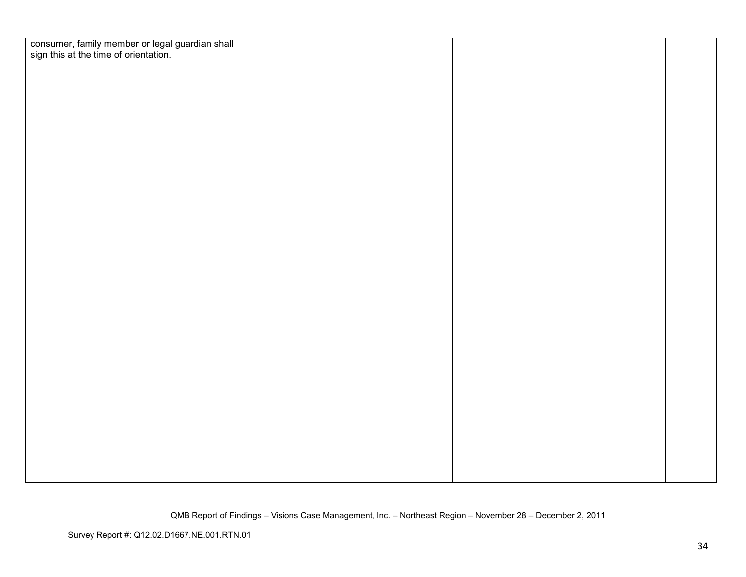| consumer, family member or legal guardian shall<br>sign this at the time of orientation. |  |  |
|------------------------------------------------------------------------------------------|--|--|
|                                                                                          |  |  |
|                                                                                          |  |  |
|                                                                                          |  |  |
|                                                                                          |  |  |
|                                                                                          |  |  |
|                                                                                          |  |  |
|                                                                                          |  |  |
|                                                                                          |  |  |
|                                                                                          |  |  |
|                                                                                          |  |  |
|                                                                                          |  |  |
|                                                                                          |  |  |
|                                                                                          |  |  |
|                                                                                          |  |  |
|                                                                                          |  |  |
|                                                                                          |  |  |
|                                                                                          |  |  |
|                                                                                          |  |  |
|                                                                                          |  |  |
|                                                                                          |  |  |
|                                                                                          |  |  |
|                                                                                          |  |  |
|                                                                                          |  |  |
|                                                                                          |  |  |
|                                                                                          |  |  |
|                                                                                          |  |  |
|                                                                                          |  |  |
|                                                                                          |  |  |
|                                                                                          |  |  |
|                                                                                          |  |  |
|                                                                                          |  |  |
|                                                                                          |  |  |
|                                                                                          |  |  |
|                                                                                          |  |  |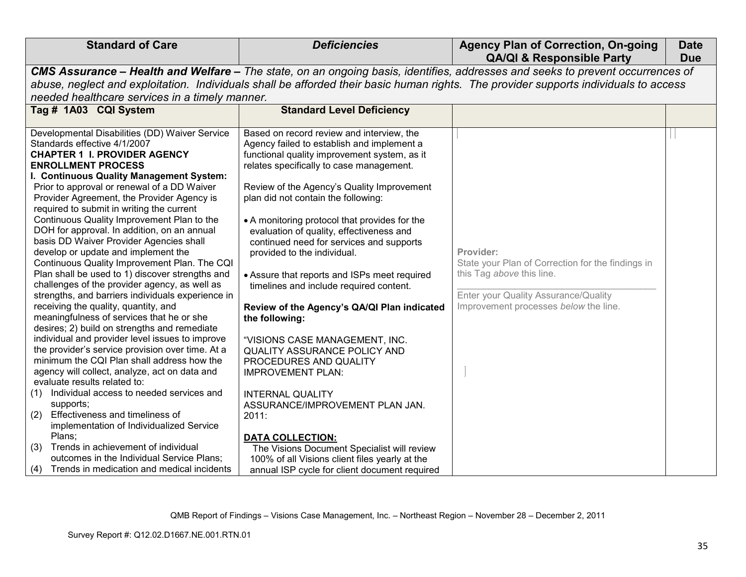| <b>Standard of Care</b><br><b>Deficiencies</b><br><b>Agency Plan of Correction, On-going</b><br><b>Date</b><br><b>QA/QI &amp; Responsible Party</b><br><b>Due</b>                                                                                                                                                                                                                                                                                                                                                                                                                                                                                                                                                                                                                                                                                                                                                                                                                                                                                                                                                                                                                                                                                                                                                                                                                                                                                                                                                                                                                                                                                                                                                                                                                                                                                                                                                                                                                                                                                                                                                                                                                                                                                                                                                                                                   |  |
|---------------------------------------------------------------------------------------------------------------------------------------------------------------------------------------------------------------------------------------------------------------------------------------------------------------------------------------------------------------------------------------------------------------------------------------------------------------------------------------------------------------------------------------------------------------------------------------------------------------------------------------------------------------------------------------------------------------------------------------------------------------------------------------------------------------------------------------------------------------------------------------------------------------------------------------------------------------------------------------------------------------------------------------------------------------------------------------------------------------------------------------------------------------------------------------------------------------------------------------------------------------------------------------------------------------------------------------------------------------------------------------------------------------------------------------------------------------------------------------------------------------------------------------------------------------------------------------------------------------------------------------------------------------------------------------------------------------------------------------------------------------------------------------------------------------------------------------------------------------------------------------------------------------------------------------------------------------------------------------------------------------------------------------------------------------------------------------------------------------------------------------------------------------------------------------------------------------------------------------------------------------------------------------------------------------------------------------------------------------------|--|
| CMS Assurance - Health and Welfare - The state, on an ongoing basis, identifies, addresses and seeks to prevent occurrences of                                                                                                                                                                                                                                                                                                                                                                                                                                                                                                                                                                                                                                                                                                                                                                                                                                                                                                                                                                                                                                                                                                                                                                                                                                                                                                                                                                                                                                                                                                                                                                                                                                                                                                                                                                                                                                                                                                                                                                                                                                                                                                                                                                                                                                      |  |
| abuse, neglect and exploitation. Individuals shall be afforded their basic human rights. The provider supports individuals to access                                                                                                                                                                                                                                                                                                                                                                                                                                                                                                                                                                                                                                                                                                                                                                                                                                                                                                                                                                                                                                                                                                                                                                                                                                                                                                                                                                                                                                                                                                                                                                                                                                                                                                                                                                                                                                                                                                                                                                                                                                                                                                                                                                                                                                |  |
| needed healthcare services in a timely manner.                                                                                                                                                                                                                                                                                                                                                                                                                                                                                                                                                                                                                                                                                                                                                                                                                                                                                                                                                                                                                                                                                                                                                                                                                                                                                                                                                                                                                                                                                                                                                                                                                                                                                                                                                                                                                                                                                                                                                                                                                                                                                                                                                                                                                                                                                                                      |  |
| <b>Standard Level Deficiency</b>                                                                                                                                                                                                                                                                                                                                                                                                                                                                                                                                                                                                                                                                                                                                                                                                                                                                                                                                                                                                                                                                                                                                                                                                                                                                                                                                                                                                                                                                                                                                                                                                                                                                                                                                                                                                                                                                                                                                                                                                                                                                                                                                                                                                                                                                                                                                    |  |
|                                                                                                                                                                                                                                                                                                                                                                                                                                                                                                                                                                                                                                                                                                                                                                                                                                                                                                                                                                                                                                                                                                                                                                                                                                                                                                                                                                                                                                                                                                                                                                                                                                                                                                                                                                                                                                                                                                                                                                                                                                                                                                                                                                                                                                                                                                                                                                     |  |
| Based on record review and interview, the<br>Developmental Disabilities (DD) Waiver Service<br>Agency failed to establish and implement a<br><b>CHAPTER 1 I. PROVIDER AGENCY</b><br>functional quality improvement system, as it<br>relates specifically to case management.<br>I. Continuous Quality Management System:<br>Prior to approval or renewal of a DD Waiver<br>Review of the Agency's Quality Improvement<br>plan did not contain the following:<br>Provider Agreement, the Provider Agency is<br>required to submit in writing the current<br>Continuous Quality Improvement Plan to the<br>• A monitoring protocol that provides for the<br>DOH for approval. In addition, on an annual<br>evaluation of quality, effectiveness and<br>basis DD Waiver Provider Agencies shall<br>continued need for services and supports<br>develop or update and implement the<br>Provider:<br>provided to the individual.<br>Continuous Quality Improvement Plan. The CQI<br>State your Plan of Correction for the findings in<br>Plan shall be used to 1) discover strengths and<br>this Tag above this line.<br>• Assure that reports and ISPs meet required<br>challenges of the provider agency, as well as<br>timelines and include required content.<br>Enter your Quality Assurance/Quality<br>strengths, and barriers individuals experience in<br>Improvement processes below the line.<br>receiving the quality, quantity, and<br>Review of the Agency's QA/QI Plan indicated<br>meaningfulness of services that he or she<br>the following:<br>desires; 2) build on strengths and remediate<br>individual and provider level issues to improve<br>"VISIONS CASE MANAGEMENT, INC.<br>the provider's service provision over time. At a<br><b>QUALITY ASSURANCE POLICY AND</b><br>minimum the CQI Plan shall address how the<br>PROCEDURES AND QUALITY<br>agency will collect, analyze, act on data and<br><b>IMPROVEMENT PLAN:</b><br>Individual access to needed services and<br><b>INTERNAL QUALITY</b><br>ASSURANCE/IMPROVEMENT PLAN JAN.<br>Effectiveness and timeliness of<br>2011:<br>implementation of Individualized Service<br><b>DATA COLLECTION:</b><br>(3) Trends in achievement of individual<br>The Visions Document Specialist will review<br>outcomes in the Individual Service Plans;<br>100% of all Visions client files yearly at the |  |
| Trends in medication and medical incidents<br>annual ISP cycle for client document required                                                                                                                                                                                                                                                                                                                                                                                                                                                                                                                                                                                                                                                                                                                                                                                                                                                                                                                                                                                                                                                                                                                                                                                                                                                                                                                                                                                                                                                                                                                                                                                                                                                                                                                                                                                                                                                                                                                                                                                                                                                                                                                                                                                                                                                                         |  |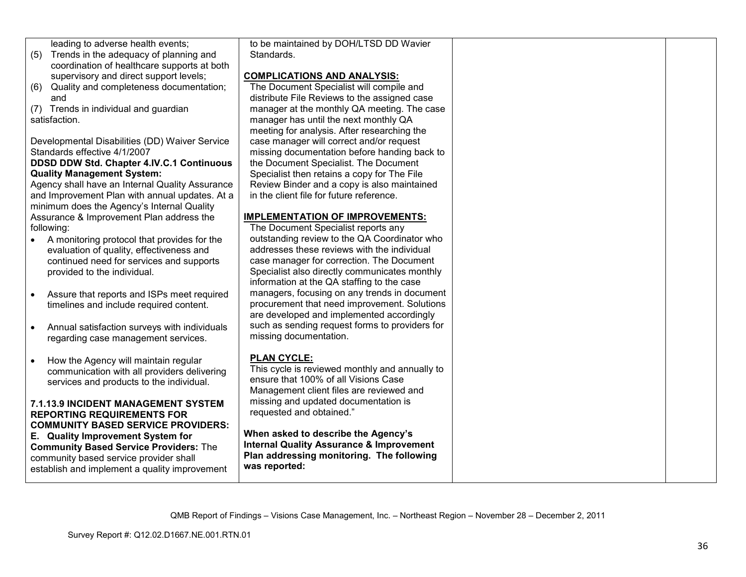leading to adverse health events;

- (5) Trends in the adequacy of planning and coordination of healthcare supports at both supervisory and direct support levels;
- (6) Quality and completeness documentation; and
- (7) Trends in individual and guardian satisfaction.

Developmental Disabilities (DD) Waiver Service Standards effective 4/1/2007

### **DDSD DDW Std. Chapter 4.IV.C.1 Continuous Quality Management System:**

 Agency shall have an Internal Quality Assurance and Improvement Plan with annual updates. At a minimum does the Agency's Internal Quality Assurance & Improvement Plan address the following:

- A monitoring protocol that provides for the evaluation of quality, effectiveness and continued need for services and supports provided to the individual.
- Assure that reports and ISPs meet required timelines and include required content.
- Annual satisfaction surveys with individuals regarding case management services.
- How the Agency will maintain regular communication with all providers delivering services and products to the individual.

#### **7.1.13.9 INCIDENT MANAGEMENT SYSTEM REPORTING REQUIREMENTS FOR COMMUNITY BASED SERVICE PROVIDERS:**

**E. Quality Improvement System for Community Based Service Providers:** The community based service provider shall establish and implement a quality improvement to be maintained by DOH/LTSD DD Wavier Standards.

### **COMPLICATIONS AND ANALYSIS:**

 The Document Specialist will compile and distribute File Reviews to the assigned case manager at the monthly QA meeting. The case manager has until the next monthly QA meeting for analysis. After researching the case manager will correct and/or request missing documentation before handing back to the Document Specialist. The Document Specialist then retains a copy for The File Review Binder and a copy is also maintained in the client file for future reference.

# **IMPLEMENTATION OF IMPROVEMENTS:**

The Document Specialist reports any outstanding review to the QA Coordinator who addresses these reviews with the individual case manager for correction. The Document Specialist also directly communicates monthly information at the QA staffing to the case managers, focusing on any trends in document procurement that need improvement. Solutions are developed and implemented accordingly such as sending request forms to providers for missing documentation.

# **PLAN CYCLE:**

 This cycle is reviewed monthly and annually to ensure that 100% of all Visions Case Management client files are reviewed and missing and updated documentation is requested and obtained."

**When asked to describe the Agency's Internal Quality Assurance & Improvement Plan addressing monitoring. The following was reported:**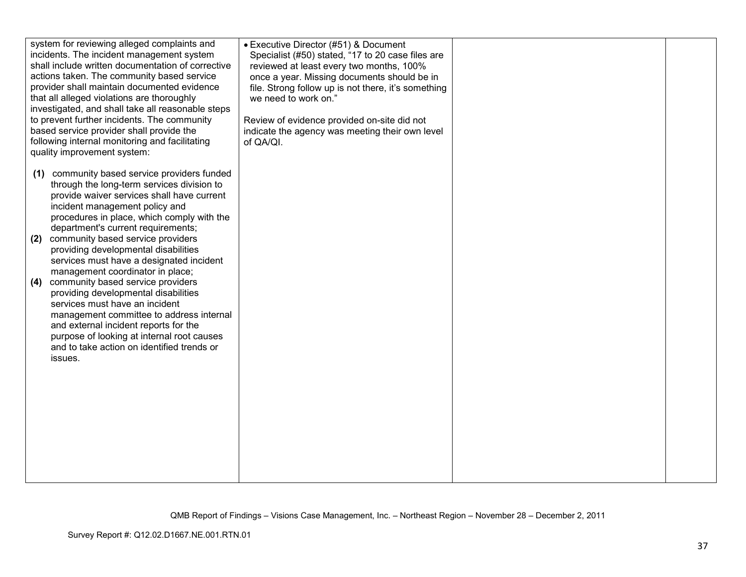| system for reviewing alleged complaints and<br>incidents. The incident management system<br>shall include written documentation of corrective<br>actions taken. The community based service<br>provider shall maintain documented evidence<br>that all alleged violations are thoroughly<br>investigated, and shall take all reasonable steps<br>to prevent further incidents. The community<br>based service provider shall provide the<br>following internal monitoring and facilitating<br>quality improvement system:                                                                                                                                                                                                                            | • Executive Director (#51) & Document<br>Specialist (#50) stated, "17 to 20 case files are<br>reviewed at least every two months, 100%<br>once a year. Missing documents should be in<br>file. Strong follow up is not there, it's something<br>we need to work on."<br>Review of evidence provided on-site did not<br>indicate the agency was meeting their own level<br>of QA/QI. |  |
|------------------------------------------------------------------------------------------------------------------------------------------------------------------------------------------------------------------------------------------------------------------------------------------------------------------------------------------------------------------------------------------------------------------------------------------------------------------------------------------------------------------------------------------------------------------------------------------------------------------------------------------------------------------------------------------------------------------------------------------------------|-------------------------------------------------------------------------------------------------------------------------------------------------------------------------------------------------------------------------------------------------------------------------------------------------------------------------------------------------------------------------------------|--|
| (1) community based service providers funded<br>through the long-term services division to<br>provide waiver services shall have current<br>incident management policy and<br>procedures in place, which comply with the<br>department's current requirements;<br>community based service providers<br>(2)<br>providing developmental disabilities<br>services must have a designated incident<br>management coordinator in place;<br>community based service providers<br>(4)<br>providing developmental disabilities<br>services must have an incident<br>management committee to address internal<br>and external incident reports for the<br>purpose of looking at internal root causes<br>and to take action on identified trends or<br>issues. |                                                                                                                                                                                                                                                                                                                                                                                     |  |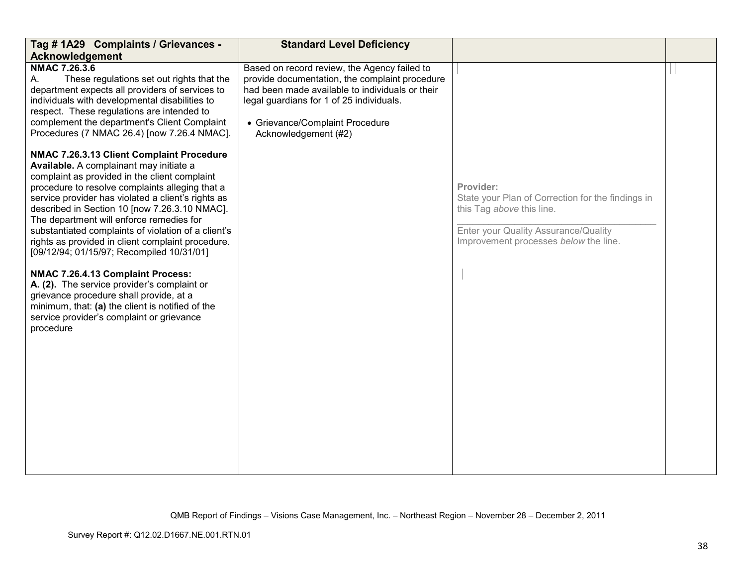| Tag # 1A29 Complaints / Grievances -<br><b>Acknowledgement</b>                                                                                                                                                                                                                                                                                                                                                                                                                                                                                                                                                                                                                                                                                    | <b>Standard Level Deficiency</b>                                                                                                                                                                                                                         |                                                                                                                                                                              |  |
|---------------------------------------------------------------------------------------------------------------------------------------------------------------------------------------------------------------------------------------------------------------------------------------------------------------------------------------------------------------------------------------------------------------------------------------------------------------------------------------------------------------------------------------------------------------------------------------------------------------------------------------------------------------------------------------------------------------------------------------------------|----------------------------------------------------------------------------------------------------------------------------------------------------------------------------------------------------------------------------------------------------------|------------------------------------------------------------------------------------------------------------------------------------------------------------------------------|--|
| NMAC 7.26.3.6<br>These regulations set out rights that the<br>А.<br>department expects all providers of services to<br>individuals with developmental disabilities to<br>respect. These regulations are intended to<br>complement the department's Client Complaint<br>Procedures (7 NMAC 26.4) [now 7.26.4 NMAC].                                                                                                                                                                                                                                                                                                                                                                                                                                | Based on record review, the Agency failed to<br>provide documentation, the complaint procedure<br>had been made available to individuals or their<br>legal guardians for 1 of 25 individuals.<br>• Grievance/Complaint Procedure<br>Acknowledgement (#2) |                                                                                                                                                                              |  |
| NMAC 7.26.3.13 Client Complaint Procedure<br>Available. A complainant may initiate a<br>complaint as provided in the client complaint<br>procedure to resolve complaints alleging that a<br>service provider has violated a client's rights as<br>described in Section 10 [now 7.26.3.10 NMAC].<br>The department will enforce remedies for<br>substantiated complaints of violation of a client's<br>rights as provided in client complaint procedure.<br>[09/12/94; 01/15/97; Recompiled 10/31/01]<br>NMAC 7.26.4.13 Complaint Process:<br>A. (2). The service provider's complaint or<br>grievance procedure shall provide, at a<br>minimum, that: (a) the client is notified of the<br>service provider's complaint or grievance<br>procedure |                                                                                                                                                                                                                                                          | Provider:<br>State your Plan of Correction for the findings in<br>this Tag above this line.<br>Enter your Quality Assurance/Quality<br>Improvement processes below the line. |  |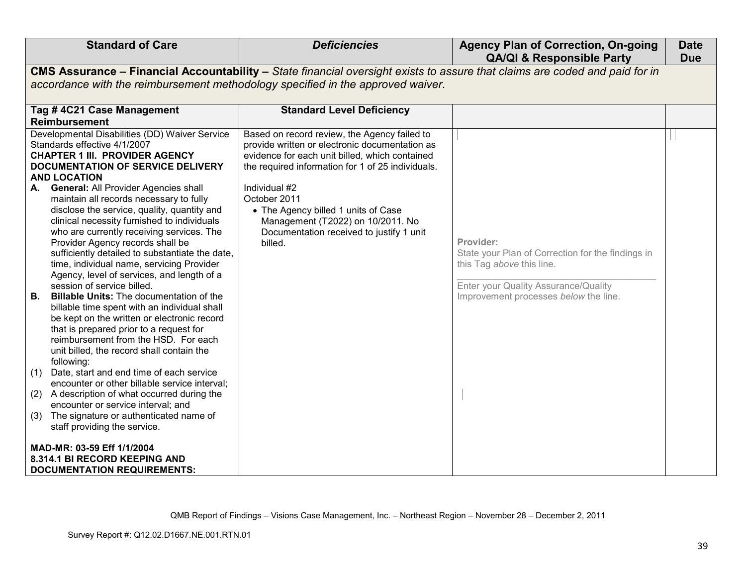| <b>Standard of Care</b>                                                                                                                                                                                                                                                                                                                                                                                                                                                                                                                                                                                                                                                                                                                                                                                                                                                                                                                                                                                                                                                                                                                                                                                                      | <b>Deficiencies</b>                                                                                                                                                                                                                                                                                                                                                       | <b>Agency Plan of Correction, On-going</b><br><b>QA/QI &amp; Responsible Party</b>                                                                                           | <b>Date</b><br><b>Due</b> |
|------------------------------------------------------------------------------------------------------------------------------------------------------------------------------------------------------------------------------------------------------------------------------------------------------------------------------------------------------------------------------------------------------------------------------------------------------------------------------------------------------------------------------------------------------------------------------------------------------------------------------------------------------------------------------------------------------------------------------------------------------------------------------------------------------------------------------------------------------------------------------------------------------------------------------------------------------------------------------------------------------------------------------------------------------------------------------------------------------------------------------------------------------------------------------------------------------------------------------|---------------------------------------------------------------------------------------------------------------------------------------------------------------------------------------------------------------------------------------------------------------------------------------------------------------------------------------------------------------------------|------------------------------------------------------------------------------------------------------------------------------------------------------------------------------|---------------------------|
|                                                                                                                                                                                                                                                                                                                                                                                                                                                                                                                                                                                                                                                                                                                                                                                                                                                                                                                                                                                                                                                                                                                                                                                                                              | CMS Assurance - Financial Accountability - State financial oversight exists to assure that claims are coded and paid for in                                                                                                                                                                                                                                               |                                                                                                                                                                              |                           |
| accordance with the reimbursement methodology specified in the approved waiver.                                                                                                                                                                                                                                                                                                                                                                                                                                                                                                                                                                                                                                                                                                                                                                                                                                                                                                                                                                                                                                                                                                                                              |                                                                                                                                                                                                                                                                                                                                                                           |                                                                                                                                                                              |                           |
| Tag #4C21 Case Management                                                                                                                                                                                                                                                                                                                                                                                                                                                                                                                                                                                                                                                                                                                                                                                                                                                                                                                                                                                                                                                                                                                                                                                                    | <b>Standard Level Deficiency</b>                                                                                                                                                                                                                                                                                                                                          |                                                                                                                                                                              |                           |
| <b>Reimbursement</b>                                                                                                                                                                                                                                                                                                                                                                                                                                                                                                                                                                                                                                                                                                                                                                                                                                                                                                                                                                                                                                                                                                                                                                                                         |                                                                                                                                                                                                                                                                                                                                                                           |                                                                                                                                                                              |                           |
| Developmental Disabilities (DD) Waiver Service<br>Standards effective 4/1/2007<br><b>CHAPTER 1 III. PROVIDER AGENCY</b><br><b>DOCUMENTATION OF SERVICE DELIVERY</b><br><b>AND LOCATION</b><br>A. General: All Provider Agencies shall<br>maintain all records necessary to fully<br>disclose the service, quality, quantity and<br>clinical necessity furnished to individuals<br>who are currently receiving services. The<br>Provider Agency records shall be<br>sufficiently detailed to substantiate the date,<br>time, individual name, servicing Provider<br>Agency, level of services, and length of a<br>session of service billed.<br><b>Billable Units:</b> The documentation of the<br>B. .<br>billable time spent with an individual shall<br>be kept on the written or electronic record<br>that is prepared prior to a request for<br>reimbursement from the HSD. For each<br>unit billed, the record shall contain the<br>following:<br>(1) Date, start and end time of each service<br>encounter or other billable service interval;<br>(2) A description of what occurred during the<br>encounter or service interval; and<br>The signature or authenticated name of<br>(3)<br>staff providing the service. | Based on record review, the Agency failed to<br>provide written or electronic documentation as<br>evidence for each unit billed, which contained<br>the required information for 1 of 25 individuals.<br>Individual #2<br>October 2011<br>• The Agency billed 1 units of Case<br>Management (T2022) on 10/2011. No<br>Documentation received to justify 1 unit<br>billed. | Provider:<br>State your Plan of Correction for the findings in<br>this Tag above this line.<br>Enter your Quality Assurance/Quality<br>Improvement processes below the line. |                           |
| MAD-MR: 03-59 Eff 1/1/2004<br>8.314.1 BI RECORD KEEPING AND<br><b>DOCUMENTATION REQUIREMENTS:</b>                                                                                                                                                                                                                                                                                                                                                                                                                                                                                                                                                                                                                                                                                                                                                                                                                                                                                                                                                                                                                                                                                                                            |                                                                                                                                                                                                                                                                                                                                                                           |                                                                                                                                                                              |                           |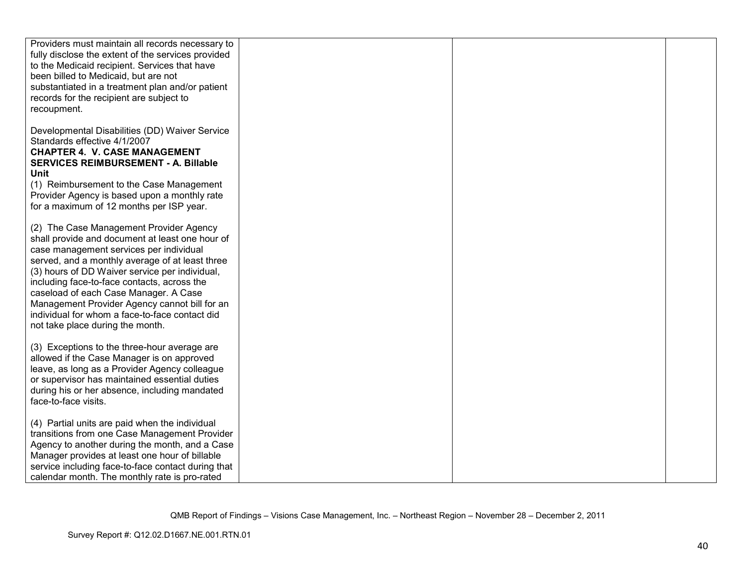| Providers must maintain all records necessary to<br>fully disclose the extent of the services provided<br>to the Medicaid recipient. Services that have<br>been billed to Medicaid, but are not<br>substantiated in a treatment plan and/or patient<br>records for the recipient are subject to<br>recoupment.                                                                                                                                                            |  |  |
|---------------------------------------------------------------------------------------------------------------------------------------------------------------------------------------------------------------------------------------------------------------------------------------------------------------------------------------------------------------------------------------------------------------------------------------------------------------------------|--|--|
| Developmental Disabilities (DD) Waiver Service<br>Standards effective 4/1/2007<br><b>CHAPTER 4. V. CASE MANAGEMENT</b><br>SERVICES REIMBURSEMENT - A. Billable<br><b>Unit</b><br>(1) Reimbursement to the Case Management<br>Provider Agency is based upon a monthly rate<br>for a maximum of 12 months per ISP year.                                                                                                                                                     |  |  |
| (2) The Case Management Provider Agency<br>shall provide and document at least one hour of<br>case management services per individual<br>served, and a monthly average of at least three<br>(3) hours of DD Waiver service per individual,<br>including face-to-face contacts, across the<br>caseload of each Case Manager. A Case<br>Management Provider Agency cannot bill for an<br>individual for whom a face-to-face contact did<br>not take place during the month. |  |  |
| (3) Exceptions to the three-hour average are<br>allowed if the Case Manager is on approved<br>leave, as long as a Provider Agency colleague<br>or supervisor has maintained essential duties<br>during his or her absence, including mandated<br>face-to-face visits.                                                                                                                                                                                                     |  |  |
| (4) Partial units are paid when the individual<br>transitions from one Case Management Provider<br>Agency to another during the month, and a Case<br>Manager provides at least one hour of billable<br>service including face-to-face contact during that<br>calendar month. The monthly rate is pro-rated                                                                                                                                                                |  |  |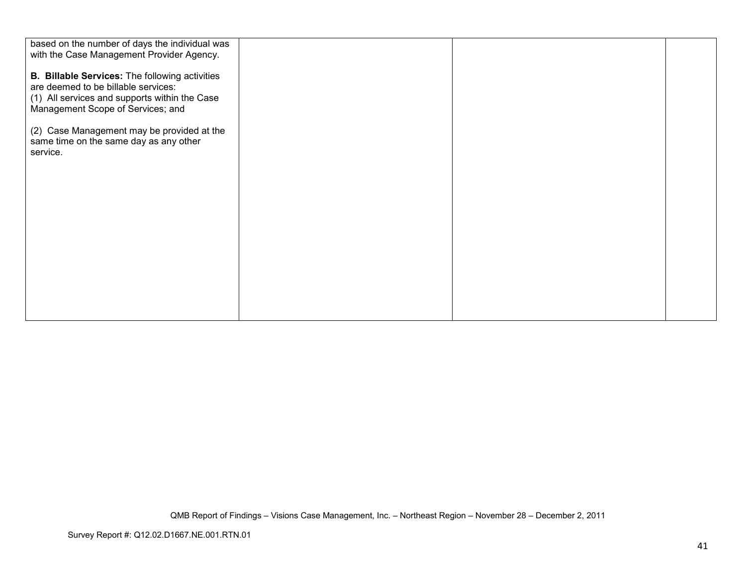| based on the number of days the individual was<br>with the Case Management Provider Agency.                                                                                        |  |  |
|------------------------------------------------------------------------------------------------------------------------------------------------------------------------------------|--|--|
| <b>B. Billable Services:</b> The following activities<br>are deemed to be billable services:<br>(1) All services and supports within the Case<br>Management Scope of Services; and |  |  |
| (2) Case Management may be provided at the<br>same time on the same day as any other<br>service.                                                                                   |  |  |
|                                                                                                                                                                                    |  |  |
|                                                                                                                                                                                    |  |  |
|                                                                                                                                                                                    |  |  |
|                                                                                                                                                                                    |  |  |
|                                                                                                                                                                                    |  |  |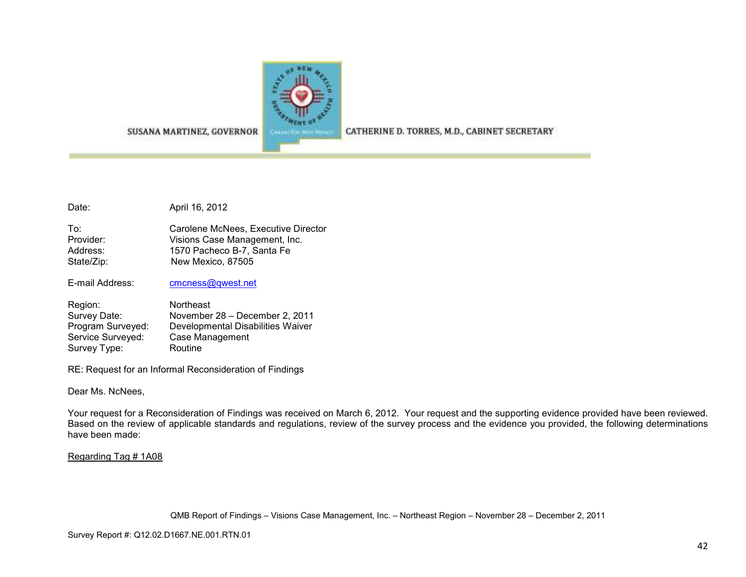

SUSANA MARTINEZ, GOVERNOR

CATHERINE D. TORRES, M.D., CABINET SECRETARY

Date: April 16, 2012

To: Carolene McNees, Executive Director Provider: Visions Case Management, Inc. Address: 1570 Pacheco B-7, Santa Fe State/Zip: New Mexico, 87505

E-mail Address: cmcness@qwest.net

| Region:           | <b>Northeast</b>                  |
|-------------------|-----------------------------------|
| Survey Date:      | November 28 – December 2, 2011    |
| Program Surveyed: | Developmental Disabilities Waiver |
| Service Surveyed: | Case Management                   |
| Survey Type:      | Routine                           |

RE: Request for an Informal Reconsideration of Findings

Dear Ms. NcNees,

Your request for a Reconsideration of Findings was received on March 6, 2012. Your request and the supporting evidence provided have been reviewed. Based on the review of applicable standards and regulations, review of the survey process and the evidence you provided, the following determinations have been made:

### Regarding Tag # 1A08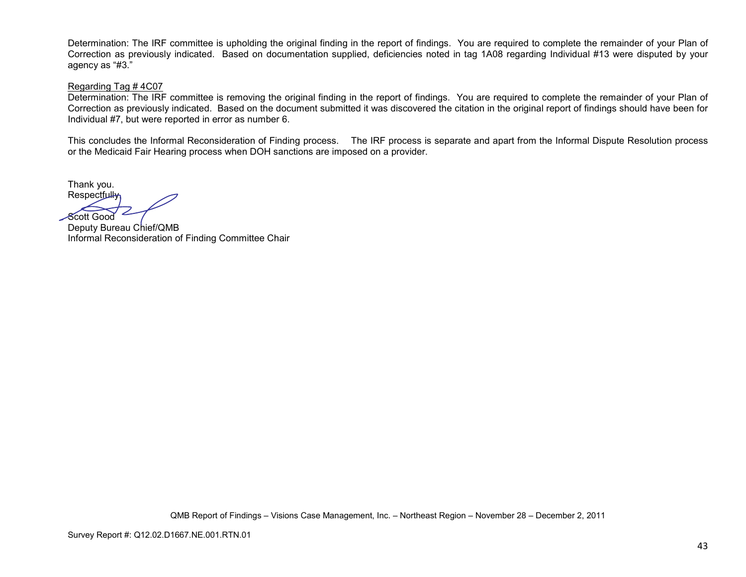Determination: The IRF committee is upholding the original finding in the report of findings. You are required to complete the remainder of your Plan of Correction as previously indicated. Based on documentation supplied, deficiencies noted in tag 1A08 regarding Individual #13 were disputed by your agency as "#3."

### Regarding Tag # 4C07

 Determination: The IRF committee is removing the original finding in the report of findings. You are required to complete the remainder of your Plan of Correction as previously indicated. Based on the document submitted it was discovered the citation in the original report of findings should have been for Individual #7, but were reported in error as number 6.

This concludes the Informal Reconsideration of Finding process. The IRF process is separate and apart from the Informal Dispute Resolution process or the Medicaid Fair Hearing process when DOH sanctions are imposed on a provider.

Thank you. Respectful<del>ly,</del>

Scott Good

 Deputy Bureau Chief/QMB Informal Reconsideration of Finding Committee Chair